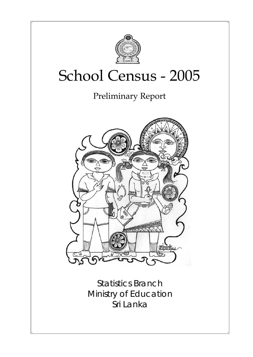

# School Census - 2005

Preliminary Report



Statistics Branch Ministry of Education Sri Lanka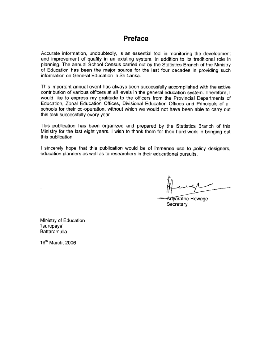# Preface

Accurate information, undoubtedly, is an essential tool in monitoring the development and improvement of quality in an existing system, in addition to its traditional role in planning. The annual School Census carried out by the Statistics Branch of the Ministry of Education has been the major source for the last four decades in providing such information on General Education in Sri Lanka.

This important annual event has always been successfully accomplished with the active contribution of various officers at all levels in the general education system. Therefore, I would like to express my gratitude to the officers from the Provincial Departments of Education. Zonal Education Offices, Divisional Education Offices and Principals of all schools for their co-operation, without which we would not have been able to carry out this task successfully every year.

This publication has been organized and prepared by the Statistics Branch of this Ministry for the last eight years. I wish to thank them for their hard work in bringing out this publication.

I sincerely hope that this publication would be of immense use to policy designers, education planners as well as to researchers in their educational pursuits.

Arlyaratne Hewage Secretary

Ministry of Education 'Isurupaya' Battaramulla

16<sup>th</sup> March, 2006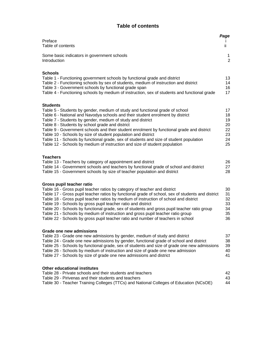## **Table of contents**

| Preface<br>Table of contents                                                                                                                                                                                                                                                                                                                                                                                                                                                                                                                                                                                                               | Page<br>ii.                                  |
|--------------------------------------------------------------------------------------------------------------------------------------------------------------------------------------------------------------------------------------------------------------------------------------------------------------------------------------------------------------------------------------------------------------------------------------------------------------------------------------------------------------------------------------------------------------------------------------------------------------------------------------------|----------------------------------------------|
| Some basic indicators in government schools<br>Introduction                                                                                                                                                                                                                                                                                                                                                                                                                                                                                                                                                                                | 1<br>$\overline{2}$                          |
| <b>Schools</b><br>Table 1 - Functioning government schools by functional grade and district<br>Table 2 - Functioning schools by sex of students, medium of instruction and district<br>Table 3 - Government schools by functional grade span<br>Table 4 - Functioning schools by medium of instruction, sex of students and functional grade                                                                                                                                                                                                                                                                                               | 13<br>14<br>16<br>17                         |
| <b>Students</b><br>Table 5 - Students by gender, medium of study and functional grade of school<br>Table 6 - National and Navodya schools and their student enrolment by district<br>Table 7 - Students by gender, medium of study and district<br>Table 8 - Students by school grade and district<br>Table 9 - Government schools and their student enrolment by functional grade and district<br>Table 10 - Schools by size of student population and district<br>Table 11 - Schools by functional grade, sex of students and size of student population<br>Table 12 - Schools by medium of instruction and size of student population   | 17<br>18<br>19<br>20<br>22<br>23<br>24<br>25 |
| <b>Teachers</b><br>Table 13 - Teachers by category of appointment and district<br>Table 14 - Government schools and teachers by functional grade of school and district<br>Table 15 - Government schools by size of teacher population and district                                                                                                                                                                                                                                                                                                                                                                                        | 26<br>27<br>28                               |
| Gross pupil teacher ratio<br>Table 16 - Gross pupil teacher ratios by category of teacher and district<br>Table 17 - Gross pupil teacher ratios by functional grade of school, sex of students and district<br>Table 18 - Gross pupil teacher ratios by medium of instruction of school and district<br>Table 19 - Schools by gross pupil teacher ratio and district<br>Table 20 - Schools by functional grade, sex of students and gross pupil teacher ratio group<br>Table 21 - Schools by medium of instruction and gross pupil teacher ratio group<br>Table 22 - Schools by gross pupil teacher ratio and number of teachers in school | 30<br>31<br>32<br>33<br>34<br>35<br>36       |
| Grade one new admissions<br>Table 23 - Grade one new admissions by gender, medium of study and district<br>Table 24 - Grade one new admissions by gender, functional grade of school and district<br>Table 25 - Schools by functional grade, sex of students and size of grade one new admissions<br>Table 26 - Schools by medium of instruction and size of grade one new admission<br>Table 27 - Schools by size of grade one new admissions and district                                                                                                                                                                                | 37<br>38<br>39<br>40<br>41                   |
| <b>Other educational institutes</b><br>Table 28 - Private schools and their students and teachers<br>Table 29 - Pirivenas and their students and teachers<br>Table 30 - Teacher Training Colleges (TTCs) and National Colleges of Education (NCsOE)                                                                                                                                                                                                                                                                                                                                                                                        | 42<br>43<br>44                               |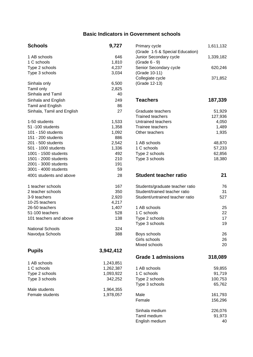## **Basic Indicators in Government schools**

| <b>Schools</b>             | 9,727     | Primary cycle                   | 1,611,132      |
|----------------------------|-----------|---------------------------------|----------------|
|                            |           | (Grade 1-5 & Special Education) |                |
| 1 AB schools               | 646       | Junior Secondary cycle          | 1,339,182      |
| 1 C schools                | 1,810     | (Grade 6 - 9)                   |                |
| Type 2 schools             | 4,237     | Senior Secondary cycle          | 620,246        |
| Type 3 schools             | 3,034     | (Grade 10-11)                   |                |
|                            |           | Collegiate cycle                | 371,852        |
| Sinhala only               | 6,500     | (Grade 12-13)                   |                |
| Tamil only                 | 2,825     |                                 |                |
| Sinhala and Tamil          | 40        |                                 |                |
| Sinhala and English        | 249       | <b>Teachers</b>                 | 187,339        |
| Tamil and English          | 86        |                                 |                |
| Sinhala, Tamil and English | 27        | Graduate teachers               | 51,929         |
|                            |           | <b>Trained teachers</b>         | 127,936        |
| 1-50 students              | 1,533     | Untrained teachers              | 4,050          |
| 51 -100 students           | 1,358     | Trainee teachers                | 1,489          |
| 101 - 150 students         | 1,092     | Other teachers                  | 1,935          |
| 151 - 200 students         | 886       |                                 |                |
| 201 - 500 students         | 2,542     | 1 AB schools                    | 48,870         |
| 501 - 1000 students        | 1,336     | 1 C schools                     | 57,233         |
|                            | 492       |                                 |                |
| 1001 - 1500 students       |           | Type 2 schools                  | 62,856         |
| 1501 - 2000 students       | 210       | Type 3 schools                  | 18,380         |
| 2001 - 3000 students       | 191       |                                 |                |
| 3001 - 4000 students       | 59        |                                 |                |
| 4001 students and above    | 28        | <b>Student teacher ratio</b>    | 21             |
| 1 teacher schools          | 167       | Students/graduate teacher ratio | 76             |
| 2 teacher schools          | 350       | Student/trained teacher ratio   | 31             |
| 3-9 teachers               | 2,920     | Student/untrained teacher ratio | 527            |
| 10-25 teachers             | 4,217     |                                 |                |
| 26-50 teachers             | 1,407     | 1 AB schools                    | 25             |
| 51-100 teachers            | 528       | 1 C schools                     | 22             |
| 101 teachers and above     | 138       | Type 2 schools                  | 17             |
|                            |           | Type 3 schools                  | 1 <sub>S</sub> |
| <b>National Schools</b>    | 324       |                                 |                |
| Navodya Schools            | 388       | Boys schools                    | 26             |
|                            |           | Girls schools                   | 26             |
|                            |           | Mixed schools                   | 20             |
| <b>Pupils</b>              | 3,942,412 |                                 |                |
|                            |           | <b>Grade 1 admissions</b>       | 318,089        |
| 1 AB schools               | 1,243,851 |                                 |                |
| 1 C schools                | 1,262,387 | 1 AB schools                    |                |
|                            |           |                                 | 59,855         |
| Type 2 schools             | 1,093,922 | 1 C schools                     | 91,719         |
| Type 3 schools             | 342,252   | Type 2 schools                  | 100,753        |
|                            |           | Type 3 schools                  | 65,762         |
| Male students              | 1,964,355 |                                 |                |
| Female students            | 1,978,057 | Male                            | 161,793        |
|                            |           | Female                          | 156 296        |

| <b>Schools</b>             | 9,727     | Primary cycle                   | 1,611,132 |
|----------------------------|-----------|---------------------------------|-----------|
|                            |           | (Grade 1-5 & Special Education) |           |
| 1 AB schools               | 646       | Junior Secondary cycle          | 1,339,182 |
| 1 C schools                | 1,810     | (Grade 6 - 9)                   |           |
| Type 2 schools             | 4,237     | Senior Secondary cycle          | 620,246   |
| Type 3 schools             | 3,034     | (Grade 10-11)                   |           |
|                            |           | Collegiate cycle                | 371,852   |
| Sinhala only               | 6,500     | (Grade 12-13)                   |           |
| Tamil only                 | 2,825     |                                 |           |
| Sinhala and Tamil          | 40        |                                 |           |
| Sinhala and English        | 249       | <b>Teachers</b>                 | 187,339   |
| Tamil and English          | 86        |                                 |           |
| Sinhala, Tamil and English | 27        | Graduate teachers               | 51,929    |
|                            |           | <b>Trained teachers</b>         | 127,936   |
| 1-50 students              | 1,533     | Untrained teachers              | 4,050     |
| 51-100 students            | 1,358     | Trainee teachers                | 1,489     |
| 101 - 150 students         | 1,092     | Other teachers                  | 1,935     |
| 151 - 200 students         | 886       |                                 |           |
| 201 - 500 students         | 2,542     | 1 AB schools                    | 48,870    |
| 501 - 1000 students        | 1,336     | 1 C schools                     | 57,233    |
| 1001 - 1500 students       | 492       | Type 2 schools                  | 62,856    |
| 1501 - 2000 students       | 210       | Type 3 schools                  | 18,380    |
| 2001 - 3000 students       | 191       |                                 |           |
| 3001 - 4000 students       | 59        |                                 |           |
| 4001 students and above    | 28        | <b>Student teacher ratio</b>    | 21        |
| 1 teacher schools          | 167       | Students/graduate teacher ratio | 76        |
| 2 teacher schools          | 350       | Student/trained teacher ratio   | 31        |
| 3-9 teachers               | 2,920     | Student/untrained teacher ratio | 527       |
| 10-25 teachers             | 4,217     |                                 |           |
| 26-50 teachers             | 1,407     | 1 AB schools                    | 25        |
| 51-100 teachers            | 528       | 1 C schools                     | 22        |
| 101 teachers and above     | 138       | Type 2 schools                  | 17        |
|                            |           | Type 3 schools                  | 19        |
| National Schools           | 324       |                                 |           |
| Navodya Schools            | 388       | Boys schools                    | 26        |
|                            |           | Girls schools                   | 26        |
|                            |           | Mixed schools                   | 20        |
| <b>Pupils</b>              | 3,942,412 |                                 |           |
|                            |           | <b>Grade 1 admissions</b>       | 318,089   |
| 1 AB schools               | 1,243,851 |                                 |           |
| 1 C schools                | 1,262,387 | 1 AB schools                    | 59,855    |
| Type 2 schools             | 1,093,922 | 1 C schools                     | 91,719    |
| Type 3 schools             | 342,252   | Type 2 schools                  | 100,753   |
|                            |           | Type 3 schools                  | 65,762    |
| Male students              | 1,964,355 |                                 |           |
| Female students            | 1,978,057 | Male                            | 161,793   |
|                            |           | Female                          | 156,296   |
|                            |           | Sinhala medium                  | 226,076   |
|                            |           | Tamil medium                    | 91,973    |
|                            |           | English medium                  | 40        |
|                            |           |                                 |           |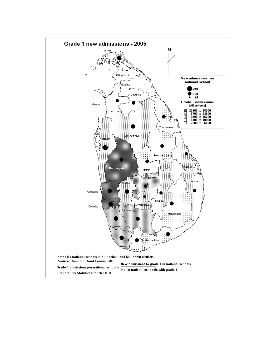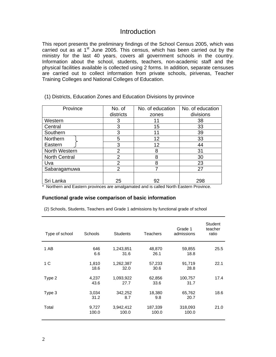## **Introduction**

This report presents the preliminary findings of the School Census 2005, which was carried out as at  $1<sup>st</sup>$  June 2005. This census, which has been carried out by the ministry for the last 40 years, covers all government schools in the country. Information about the school, students, teachers, non-academic staff and the physical facilities available is collected using 2 forms. In addition, separate censuses are carried out to collect information from private schools, pirivenas, Teacher Training Colleges and National Colleges of Education.

| Province             | No. of         | No. of education | No. of education |
|----------------------|----------------|------------------|------------------|
|                      | districts      | zones            | divisions        |
| Western              | 3              | 11               | 38               |
| Central              | 3              | 15               | 33               |
| Southern             | 3              | 11               | 39               |
| Northern             | 5              | 12               | 33               |
| Eastern              | 3              | 12               | 44               |
| North Western        | 2              | 8                | 31               |
| <b>North Central</b> | 2              | 8                | 30               |
| Uva                  | $\overline{2}$ | 8                | 23               |
| Sabaragamuwa         | 2              |                  | 27               |
|                      |                |                  |                  |
| Sri Lanka            | 25             | 92               | 298              |

(1) Districts, Education Zones and Education Divisions by province

\* Northern and Eastern provinces are amalgamated and is called North Eastern Province.

#### **Functional grade wise comparison of basic information**

(2) Schools, Students, Teachers and Grade 1 admissions by functional grade of school

| Type of school | Schools        | <b>Students</b>    | Teachers         | Grade 1<br>admissions | Student<br>teacher<br>ratio |
|----------------|----------------|--------------------|------------------|-----------------------|-----------------------------|
| 1 AB           | 646<br>6.6     | 1,243,851<br>31.6  | 48,870<br>26.1   | 59,855<br>18.8        | 25.5                        |
| 1 C            | 1,810<br>18.6  | 1,262,387<br>32.0  | 57,233<br>30.6   | 91,719<br>28.8        | 22.1                        |
| Type 2         | 4,237<br>43.6  | 1,093,922<br>27.7  | 62,856<br>33.6   | 100,757<br>31.7       | 17.4                        |
| Type 3         | 3,034<br>31.2  | 342,252<br>8.7     | 18,380<br>9.8    | 65,762<br>20.7        | 18.6                        |
| Total          | 9,727<br>100.0 | 3,942,412<br>100.0 | 187,339<br>100.0 | 318,093<br>100.0      | 21.0                        |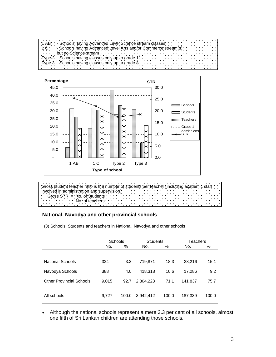



Gross student teacher ratio is the number of students per teacher (including academic staff involved in administration and supervision) Gross STR = No. of Students No. of teachers

### **National, Navodya and other provincial schools**

(3) Schools, Students and teachers in National, Navodya and other schools

|                                 | Schools |       | <b>Students</b> |       | Teachers |       |
|---------------------------------|---------|-------|-----------------|-------|----------|-------|
|                                 | No.     | $\%$  | No.             | $\%$  | No.      | %     |
|                                 |         |       |                 |       |          |       |
| <b>National Schools</b>         | 324     | 3.3   | 719,871         | 18.3  | 28,216   | 15.1  |
| Navodya Schools                 | 388     | 4.0   | 418,318         | 10.6  | 17,286   | 9.2   |
| <b>Other Provincial Schools</b> | 9,015   | 92.7  | 2,804,223       | 71.1  | 141,837  | 75.7  |
|                                 |         |       |                 |       |          |       |
| All schools                     | 9,727   | 100.0 | 3,942,412       | 100.0 | 187,339  | 100.0 |

• Although the national schools represent a mere 3.3 per cent of all schools, almost one fifth of Sri Lankan children are attending those schools**.**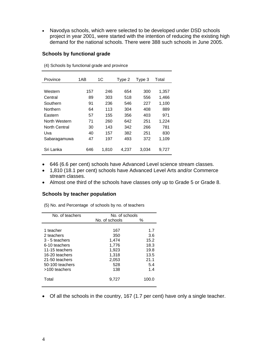• Navodya schools, which were selected to be developed under DSD schools project in year 2001, were started with the intention of reducing the existing high demand for the national schools. There were 388 such schools in June 2005.

#### **Schools by functional grade**

| Province      | 1AB | 1C    | Type 2 | Type 3 | Total |
|---------------|-----|-------|--------|--------|-------|
|               |     |       |        |        |       |
| Western       | 157 | 246   | 654    | 300    | 1,357 |
| Central       | 89  | 303   | 518    | 556    | 1,466 |
| Southern      | 91  | 236   | 546    | 227    | 1,100 |
| Northern      | 64  | 113   | 304    | 408    | 889   |
| Eastern       | 57  | 155   | 356    | 403    | 971   |
| North Western | 71  | 260   | 642    | 251    | 1.224 |
| North Central | 30  | 143   | 342    | 266    | 781   |
| Uva           | 40  | 157   | 382    | 251    | 830   |
| Sabaragamuwa  | 47  | 197   | 493    | 372    | 1,109 |
| Sri Lanka     | 646 | 1,810 | 4.237  | 3,034  | 9.727 |

(4) Schools by functional grade and province

- 646 (6.6 per cent) schools have Advanced Level science stream classes.
- 1,810 (18.1 per cent) schools have Advanced Level Arts and/or Commerce stream classes.
- Almost one third of the schools have classes only up to Grade 5 or Grade 8.

#### **Schools by teacher population**

(5) No. and Percentage of schools by no. of teachers

| No. of teachers | No. of schools |       |
|-----------------|----------------|-------|
|                 | No. of schools | ℅     |
|                 |                |       |
| 1 teacher       | 167            | 1.7   |
| 2 teachers      | 350            | 3.6   |
| 3 - 5 teachers  | 1.474          | 15.2  |
| 6-10 teachers   | 1,776          | 18.3  |
| 11-15 teachers  | 1.923          | 19.8  |
| 16-20 teachers  | 1,318          | 13.5  |
| 21-50 teachers  | 2,053          | 21.1  |
| 50-100 teachers | 528            | 5.4   |
| >100 teachers   | 138            | 1.4   |
|                 |                |       |
| Total           | 9.727          | 100.0 |
|                 |                |       |

• Of all the schools in the country, 167 (1.7 per cent) have only a single teacher.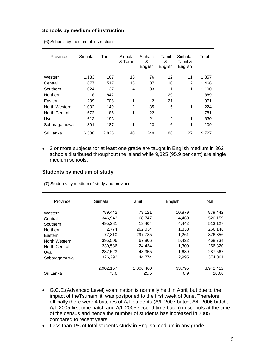#### **Schools by medium of instruction**

(6) Schools by medium of instruction

| Province      | Sinhala | Tamil | Sinhala<br>& Tamil | Sinhala<br>&<br>English | Tamil<br>&<br>English | Sinhala.<br>Tamil &<br>English | Total |
|---------------|---------|-------|--------------------|-------------------------|-----------------------|--------------------------------|-------|
|               |         |       |                    |                         |                       |                                |       |
| Western       | 1,133   | 107   | 18                 | 76                      | 12                    | 11                             | 1,357 |
| Central       | 877     | 517   | 13                 | 37                      | 10                    | 12                             | 1,466 |
| Southern      | 1,024   | 37    | 4                  | 33                      | 1                     | 1                              | 1,100 |
| Northern      | 18      | 842   |                    |                         | 29                    |                                | 889   |
| Eastern       | 239     | 708   | 1                  | 2                       | 21                    |                                | 971   |
| North Western | 1,032   | 149   | $\overline{2}$     | 35                      | 5                     | 1                              | 1,224 |
| North Central | 673     | 85    | 1                  | 22                      |                       |                                | 781   |
| Uva           | 613     | 193   |                    | 21                      | 2                     | 1                              | 830   |
| Sabaragamuwa  | 891     | 187   | 1                  | 23                      | 6                     | 1                              | 1,109 |
| Sri Lanka     | 6,500   | 2,825 | 40                 | 249                     | 86                    | 27                             | 9,727 |

• 3 or more subjects for at least one grade are taught in English medium in 362 schools distributed throughout the island while 9,325 (95.9 per cent) are single medium schools.

#### **Students by medium of study**

(7) Students by medium of study and province

| Province             | Sinhala   | Tamil     | English | Total     |
|----------------------|-----------|-----------|---------|-----------|
|                      |           |           |         |           |
| Western              | 789,442   | 79.121    | 10.879  | 879,442   |
| Central              | 346,943   | 168.747   | 4.469   | 520.159   |
| Southern             | 495,281   | 13,404    | 4,442   | 513,127   |
| Northern             | 2.774     | 262.034   | 1,338   | 266,146   |
| Eastern              | 77,810    | 297,785   | 1,261   | 376,856   |
| North Western        | 395,506   | 67.806    | 5.422   | 468.734   |
| <b>North Central</b> | 230,586   | 24,434    | 1,300   | 256,320   |
| Uva                  | 237,523   | 48.355    | 1.689   | 287.567   |
| Sabaragamuwa         | 326,292   | 44.774    | 2,995   | 374.061   |
|                      | 2,902,157 | 1.006.460 | 33,795  | 3.942.412 |
| Sri Lanka            | 73.6      | 25.5      | 0.9     | 100.0     |

- G.C.E.(Advanced Level) examination is normally held in April, but due to the impact of theTsunami it was postponed to the first week of June. Therefore officially there were 4 batches of A/L students (A/L 2007 batch, A/L 2006 batch, A/L 2005 first time batch and A/L 2005 second time batch) in schools at the time of the census and hence the number of students has increased in 2005 compared to recent years.
- Less than 1% of total students study in English medium in any grade.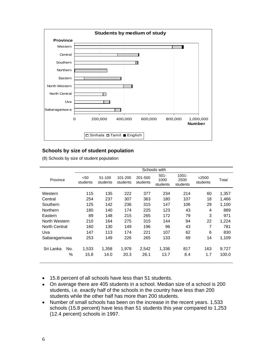

#### **Schools by size of student population**

(8) Schools by size of student population

|                      |     | Schools with     |                    |                     |                     |                             |                              |                   |       |  |
|----------------------|-----|------------------|--------------------|---------------------|---------------------|-----------------------------|------------------------------|-------------------|-------|--|
| Province             |     | < 50<br>students | 51-100<br>students | 101-200<br>students | 201-500<br>students | $501 -$<br>1000<br>students | $1001 -$<br>2500<br>students | >2500<br>students | Total |  |
| Western              |     | 115              | 135                | 222                 | 377                 | 234                         | 214                          | 60                | 1,357 |  |
| Central              |     | 254              | 237                | 307                 | 363                 | 180                         | 107                          | 18                | 1,466 |  |
| Southern             |     | 125              | 142                | 236                 | 315                 | 147                         | 106                          | 29                | 1.100 |  |
| Northern             |     | 180              | 140                | 174                 | 225                 | 123                         | 43                           | 4                 | 889   |  |
| Eastern              |     | 89               | 148                | 215                 | 265                 | 172                         | 79                           | 3                 | 971   |  |
| North Western        |     | 210              | 164                | 275                 | 315                 | 144                         | 94                           | 22                | 1,224 |  |
| <b>North Central</b> |     | 160              | 130                | 149                 | 196                 | 96                          | 43                           | 7                 | 781   |  |
| Uva                  |     | 147              | 113                | 174                 | 221                 | 107                         | 62                           | 6                 | 830   |  |
| Sabaragamuwa         |     | 253              | 149                | 226                 | 265                 | 133                         | 69                           | 14                | 1,109 |  |
| Sri Lanka            | No. | 1,533            | 1,358              | 1,978               | 2,542               | 1,336                       | 817                          | 163               | 9,727 |  |
|                      | %   | 15.8             | 14.0               | 20.3                | 26.1                | 13.7                        | 8.4                          | 1.7               | 100.0 |  |

- 15.8 percent of all schools have less than 51 students.
- On average there are 405 students in a school. Median size of a school is 200 students, i.e. exactly half of the schools in the country have less than 200 students while the other half has more than 200 students.
- Number of small schools has been on the increase in the recent years. 1,533 schools (15.8 percent) have less than 51 students this year compared to 1,253 (12.4 percent) schools in 1997.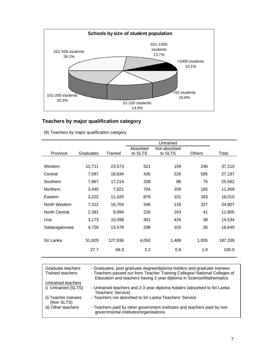

## **Teachers by major qualification category**

|  |  |  |  | (9) Teachers by major qualification category |  |
|--|--|--|--|----------------------------------------------|--|
|--|--|--|--|----------------------------------------------|--|

| Province      | Graduates | Trained | Absorbed<br>to SLTS | Not absorbed<br>to SLTS | <b>Others</b> | Total   |
|---------------|-----------|---------|---------------------|-------------------------|---------------|---------|
|               |           |         |                     |                         |               |         |
| Western       | 12,711    | 23,573  | 521                 | 159                     | 246           | 37,210  |
| Central       | 7,097     | 18,834  | 435                 | 226                     | 595           | 27,187  |
| Southern      | 7,867     | 17,214  | 338                 | 88                      | 75            | 25,582  |
| Northern      | 3,440     | 7,021   | 704                 | 109                     | 185           | 11,459  |
| Eastern       | 3,222     | 11,420  | 879                 | 101                     | 393           | 16,015  |
| North Western | 7,312     | 16,704  | 348                 | 116                     | 327           | 24,807  |
| North Central | 2,381     | 9,094   | 226                 | 163                     | 41            | 11,905  |
| Uva           | 3,173     | 10,598  | 301                 | 424                     | 38            | 14,534  |
| Sabaragamuwa  | 4,726     | 13,478  | 298                 | 103                     | 35            | 18,640  |
|               |           |         |                     |                         |               |         |
| Sri Lanka     | 51,929    | 127,936 | 4,050               | 1,489                   | 1,935         | 187,339 |
|               | 27.7      | 68.3    | 2.2                 | 0.8                     | 1.0           | 100.0   |
|               |           |         |                     |                         |               |         |

| Graduate teachers<br><b>Trained teachers</b> | - Graduates, post graduate degree/diploma holders and graduate trainees<br>- Teachers passed out from Teacher Training Colleges/ National Colleges of<br>Education and teachers having 2 year diploma in Science/Mathematics |
|----------------------------------------------|------------------------------------------------------------------------------------------------------------------------------------------------------------------------------------------------------------------------------|
| Untrained teachers                           |                                                                                                                                                                                                                              |
| i) Untrained (SLTS)                          | - Untrained teachers and 2-3 year diploma holders (absorbed to Sri Lanka<br>Teachers' Service)                                                                                                                               |
| ii) Teacher trainees<br>(Non SLTS)           | - Teachers not absorbed to Sri Lanka Teachers' Service                                                                                                                                                                       |
| iii) Other teachers                          | - Teachers paid by other government institutes and teachers paid by non<br>governmental institutes/organisations.                                                                                                            |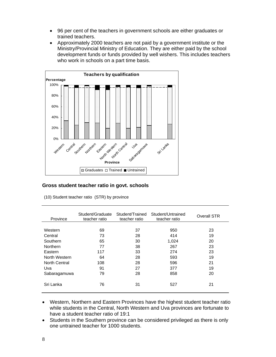- 96 per cent of the teachers in government schools are either graduates or trained teachers.
- Approximately 2000 teachers are not paid by a government institute or the Ministry/Provincial Ministry of Education. They are either paid by the school development funds or funds provided by well wishers. This includes teachers who work in schools on a part time basis.



#### **Gross student teacher ratio in govt. schools**

| Province      | Student/Graduate<br>teacher ratio | Student/Trained<br>teacher ratio | Student/Untrained<br>teacher ratio | Overall STR |
|---------------|-----------------------------------|----------------------------------|------------------------------------|-------------|
|               |                                   |                                  |                                    |             |
| Western       | 69                                | 37                               | 950                                | 23          |
| Central       | 73                                | 28                               | 414                                | 19          |
| Southern      | 65                                | 30                               | 1,024                              | 20          |
| Northern      | 77                                | 38                               | 267                                | 23          |
| Eastern       | 117                               | 33                               | 274                                | 23          |
| North Western | 64                                | 28                               | 593                                | 19          |
| North Central | 108                               | 28                               | 596                                | 21          |
| Uva           | 91                                | 27                               | 377                                | 19          |
| Sabaragamuwa  | 79                                | 28                               | 858                                | 20          |
| Sri Lanka     | 76                                | 31                               | 527                                | 21          |

(10) Student teacher ratio (STR) by province

- Western, Northern and Eastern Provinces have the highest student teacher ratio while students in the Central, North Western and Uva provinces are fortunate to have a student teacher ratio of 19:1
- Students in the Southern province can be considered privileged as there is only one untrained teacher for 1000 students.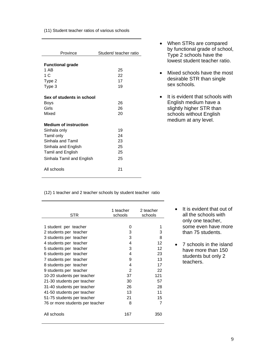#### (11) Student teacher ratios of various schools

| Province                     | Student/ teacher ratio |
|------------------------------|------------------------|
| <b>Functional grade</b>      |                        |
| 1 AB                         | 25                     |
| 1 C                          | 22                     |
| Type 2                       | 17                     |
| Type 3                       | 19                     |
|                              |                        |
| Sex of students in school    |                        |
| Boys                         | 26                     |
| Girls                        | 26                     |
| Mixed                        | 20                     |
| <b>Medium of instruction</b> |                        |
| Sinhala only                 | 19                     |
| Tamil only                   | 24                     |
| Sinhala and Tamil            | 23                     |
| Sinhala and English          | 25                     |
| Tamil and English            | 25                     |
| Sinhala Tamil and English    | 25                     |
|                              |                        |
| All schools                  | 21                     |

- When STRs are compared by functional grade of school, Type 2 schools have the lowest student teacher ratio.
- Mixed schools have the most desirable STR than single sex schools.
- It is evident that schools with English medium have a slightly higher STR than schools without English medium at any level.

(12) 1 teacher and 2 teacher schools by student teacher ratio

| STR                             | 1 teacher<br>schools | 2 teacher<br>schools |  |
|---------------------------------|----------------------|----------------------|--|
|                                 |                      |                      |  |
| 1 student per teacher           | 0                    | 1                    |  |
| 2 students per teacher          | 3                    | 3                    |  |
| 3 students per teacher          | 3                    | 8                    |  |
| 4 students per teacher          | 4                    | 12                   |  |
| 5 students per teacher          | 3                    | 12                   |  |
| 6 students per teacher          | 4                    | 23                   |  |
| 7 students per teacher          | 9                    | 13                   |  |
| 8 students per teacher          | 4                    | 17                   |  |
| 9 students per teacher          | 2                    | 22                   |  |
| 10-20 students per teacher      | 37                   | 121                  |  |
| 21-30 students per teacher      | 30                   | 57                   |  |
| 31-40 students per teacher      | 26                   | 28                   |  |
| 41-50 students per teacher      | 13                   | 11                   |  |
| 51-75 students per teacher      | 21                   | 15                   |  |
| 76 or more students per teacher | 8                    | 7                    |  |
| All schools                     | 167                  | 350                  |  |

• It is evident that out of all the schools with only one teacher, some even have more than 75 students.

• 7 schools in the island have more than 150 students but only 2 teachers.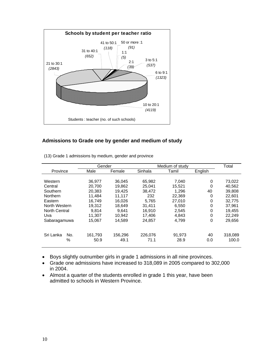

#### **Admissions to Grade one by gender and medium of study**

|                      | Gender  |         |         | Medium of study |         | Total   |
|----------------------|---------|---------|---------|-----------------|---------|---------|
| Province             | Male    | Female  | Sinhala | Tamil           | English |         |
|                      |         |         |         |                 |         |         |
| Western              | 36.977  | 36.045  | 65.982  | 7,040           | 0       | 73,022  |
| Central              | 20,700  | 19.862  | 25.041  | 15.521          | 0       | 40,562  |
| Southern             | 20.383  | 19.425  | 38,472  | 1.296           | 40      | 39.808  |
| <b>Northern</b>      | 11.484  | 11.117  | 232     | 22,369          | 0       | 22,601  |
| Eastern              | 16.749  | 16.026  | 5.765   | 27,010          | 0       | 32,775  |
| North Western        | 19.312  | 18.649  | 31.411  | 6,550           | 0       | 37.961  |
| <b>North Central</b> | 9,814   | 9.641   | 16,910  | 2,545           | 0       | 19,455  |
| Uva                  | 11.307  | 10.942  | 17.406  | 4,843           | 0       | 22.249  |
| Sabaragamuwa         | 15,067  | 14.589  | 24,857  | 4,799           | 0       | 29,656  |
| Sri Lanka<br>No.     | 161,793 | 156,296 | 226.076 | 91.973          | 40      | 318,089 |
| %                    | 50.9    | 49.1    | 71.1    | 28.9            | 0.0     | 100.0   |

(13) Grade 1 admissions by medium, gender and province

• Boys slightly outnumber girls in grade 1 admissions in all nine provinces.

• Grade one admissions have increased to 318,089 in 2005 compared to 302,000 in 2004.

• Almost a quarter of the students enrolled in grade 1 this year, have been admitted to schools in Western Province.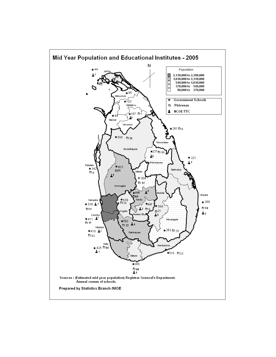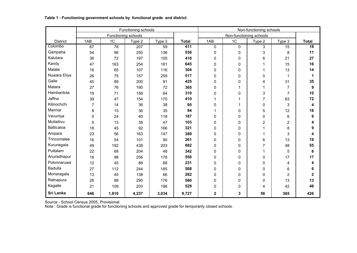#### **Table 1 - Functioning government schools by functional grade and district**

|                   |                |       | Functioning schools |        |              |             |                         | Non-functioning schools |                |                         |
|-------------------|----------------|-------|---------------------|--------|--------------|-------------|-------------------------|-------------------------|----------------|-------------------------|
|                   |                |       | Functioning schools |        |              |             | Non-functioning schools |                         |                |                         |
| <b>District</b>   | 1AB            | 1C    | Type 2              | Type 3 | <b>Total</b> | 1AB         | 1 <sub>C</sub>          | Type 2                  | Type 3         | <b>Total</b>            |
| Colombo           | 67             | 78    | 207                 | 59     | 411          | 0           | $\Omega$                | 3                       | 15             | $\overline{18}$         |
| Gampaha           | 54             | 96    | 250                 | 136    | 536          | 0           | 0                       | 3                       | 8              | 11                      |
| Kalutara          | 36             | 72    | 197                 | 105    | 410          | 0           | 0                       | 6                       | 21             | 27                      |
| Kandy             | 47             | 163   | 254                 | 181    | 645          | 0           | 0                       | 1                       | 15             | 16                      |
| Matale            | 16             | 65    | 107                 | 116    | 304          | 0           | $\Omega$                | 1                       | 13             | 14                      |
| Nuwara Eliya      | 26             | 75    | 157                 | 259    | 517          | 0           | $\Omega$                | $\Omega$                | 1              | 1                       |
| Galle             | 45             | 89    | 200                 | 91     | 425          | 0           | $\Omega$                | 4                       | 31             | 35                      |
| Matara            | 27             | 76    | 190                 | 72     | 365          | 0           |                         | 1                       | 7              | 9                       |
| Hambantota        | 19             | 71    | 156                 | 64     | 310          | 0           | $\Omega$                | 3                       | 7              | 10                      |
| Jaffna            | 39             | 47    | 154                 | 170    | 410          | 1           | 1                       | $\overline{7}$          | 63             | 72                      |
| Kilinochchi       | $\overline{7}$ | 14    | 36                  | 38     | 95           | 0           |                         | $\Omega$                | 3              | $\overline{\mathbf{4}}$ |
| Mannar            | 8              | 15    | 36                  | 35     | 94           | 1           | 0                       | 5                       | 12             | 18                      |
| Vavuniya          | 5              | 24    | 40                  | 118    | 187          | 0           | $\Omega$                | $\Omega$                | 6              | 6                       |
| Mullaitivu        | 5              | 13    | 38                  | 47     | 103          | 0           | 0                       | $\overline{2}$          | $\overline{c}$ | 4                       |
| <b>Batticaloa</b> | 18             | 45    | 92                  | 166    | 321          | 0           | 0                       | 1                       | 8              | 9                       |
| Ampara            | 23             | 56    | 163                 | 147    | 389          | 0           | $\Omega$                | 1                       | 3              | 4                       |
| Trincomalee       | 16             | 54    | 101                 | 90     | 261          | 0           | 0                       | 6                       | 13             | 19                      |
| Kurunegala        | 49             | 192   | 438                 | 203    | 882          | 0           | $\Omega$                | $\overline{7}$          | 48             | 55                      |
| Puttalam          | 22             | 68    | 204                 | 48     | 342          | 0           | $\Omega$                | 1                       | 5              | 6                       |
| Anuradhapur       | 18             | 98    | 256                 | 178    | 550          | 0           | 0                       | 0                       | 17             | 17                      |
| Polonnaruwa       | 12             | 45    | 86                  | 88     | 231          | 0           | 0                       | 0                       | 4              | 4                       |
| <b>Badulla</b>    | 27             | 112   | 244                 | 185    | 568          | 0           | $\Omega$                | 0                       | 6              | 6                       |
| Monaragala        | 13             | 45    | 138                 | 66     | 262          | 0           | 0                       | $\mathbf{0}$            | 2              | $\overline{\mathbf{2}}$ |
| Ratnapura         | 26             | 88    | 290                 | 176    | 580          | 0           | $\Omega$                | $\Omega$                | 13             | 13                      |
| Kegalle           | 21             | 109   | 203                 | 196    | 529          | 0           | $\Omega$                | 4                       | 42             | 46                      |
| Sri Lanka         | 646            | 1,810 | 4,237               | 3,034  | 9,727        | $\mathbf 2$ | 3                       | 56                      | 365            | 426                     |

Source - School Census 2005, Provisional.

Note : Grade is functional grade for functioning schools and approved grade for temporarily closed schools.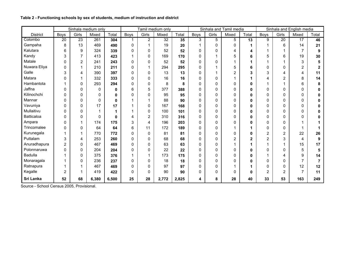|                 |                |                | Sinhala medium only |              |              |                | Tamil medium only |       |                |          | Sinhala and Tamil media |       |                |       | Sinhala and English media |                |
|-----------------|----------------|----------------|---------------------|--------------|--------------|----------------|-------------------|-------|----------------|----------|-------------------------|-------|----------------|-------|---------------------------|----------------|
| <b>District</b> | <b>Boys</b>    | Girls          | Mixed               | <b>Total</b> | <b>Boys</b>  | Girls          | Mixed             | Total | Boys           | Girls    | Mixed                   | Total | Boys           | Girls | Mixed                     | Total          |
| Colombo         | 20             | 23             | 261                 | 304          |              | $\overline{2}$ | 32                | 35    | $\overline{3}$ | 5        | $\overline{5}$          | 13    | 9              | 20    | 17                        | 46             |
| Gampaha         | 8              | 13             | 469                 | 490          | $\mathbf{0}$ |                | 19                | 20    |                | 0        | 0                       | 1     |                | 6     | 14                        | 21             |
| Kalutara        | 6              | 9              | 324                 | 339          | $\mathbf{0}$ | $\mathbf{0}$   | 52                | 52    | $\Omega$       | 0        | 4                       | 4     |                | 1     | 7                         | 9              |
| Kandy           | 3              | $\overline{7}$ | 413                 | 423          |              | 0              | 169               | 170   | 0              |          | 5                       | 6     | 5              | 6     | 19                        | 30             |
| Matale          | 0              | 2              | 241                 | 243          | 0            | 0              | 52                | 52    | 0              | 0        |                         |       |                | 1     | 3                         | 5              |
| Nuwara Eliya    | 0              | 1              | 210                 | 211          | $\Omega$     |                | 294               | 295   | 0              |          | 5                       | 6     | 0              | 0     | $\overline{2}$            | $\overline{2}$ |
| Galle           | 3              | 4              | 390                 | 397          | 0            | $\Omega$       | 13                | 13    | 0              |          | $\overline{2}$          | 3     | 3              | 4     | 4                         | 11             |
| Matara          | 0              |                | 332                 | 333          | 0            | $\Omega$       | 16                | 16    | 0              | 0        |                         |       | 4              | 2     | 8                         | 14             |
| Hambantota      |                | 0              | 293                 | 294          | 0            | $\Omega$       | 8                 | 8     | $\mathbf 0$    | 0        | 0                       | 0     |                |       | 6                         | 8              |
| Jaffna          | 0              | 0              | 0                   | 0            | 6            | 5              | 377               | 388   | 0              | 0        | 0                       | 0     | 0              | 0     | 0                         | U              |
| Kilinochchi     | 0              | 0              | 0                   | 0            | 0            | $\Omega$       | 95                | 95    | 0              | 0        | 0                       | 0     | 0              | 0     | 0                         | U              |
| Mannar          | 0              | 0              | $\Omega$            | 0            |              |                | 88                | 90    | 0              | 0        | 0                       | 0     | 0              | 0     | 0                         |                |
| Vavuniya        | 0              | 0              | 17                  | 17           |              | 0              | 167               | 168   | 0              | 0        | 0                       | 0     | 0              | 0     | 0                         |                |
| Mullaitivu      | 0              | 0              |                     |              |              | 0              | 100               | 101   | 0              | 0        | 0                       | 0     | 0              | 0     | 0                         | ŋ              |
| Batticaloa      | 0              | 0              | 0                   | 0            | 4            | $\overline{2}$ | 310               | 316   | 0              | 0        | 0                       | 0     | 0              | 0     | 0                         |                |
| Ampara          | 0              |                | 174                 | 175          | 3            | 4              | 196               | 203   | 0              | 0        | 0                       | 0     | 0              | 0     |                           |                |
| Trincomalee     | 0              | 0              | 64                  | 64           | 6            | 11             | 172               | 189   | 0              | 0        |                         |       | 0              | 0     |                           |                |
| Kurunegala      |                |                | 770                 | 772          | 0            | $\Omega$       | 81                | 81    | 0              | 0        | 0                       | 0     | 2              | 2     | 22                        | 26             |
| Puttalam        | 3              | 4              | 253                 | 260          | $\Omega$     | $\Omega$       | 68                | 68    | 0              | $\Omega$ | 2                       | 2     | $\overline{2}$ | 3     | 4                         | 9              |
| Anuradhapura    | $\overline{2}$ | 0              | 467                 | 469          | 0            | 0              | 63                | 63    | 0              | 0        |                         |       |                |       | 15                        | 17             |
| Polonnaruwa     | 0              | 0              | 204                 | 204          | 0            | 0              | 22                | 22    | 0              | 0        | 0                       | 0     | 0              | 0     | 5                         | 5              |
| <b>Badulla</b>  |                | $\Omega$       | 375                 | 376          |              |                | 173               | 175   | 0              | 0        | 0                       | 0     |                | 4     | 9                         | 14             |
| Monaragala      |                | 0              | 236                 | 237          | $\Omega$     | $\Omega$       | 18                | 18    | 0              | 0        | 0                       | 0     | 0              | 0     | $\overline{7}$            | $\overline{7}$ |
| Ratnapura       |                |                | 467                 | 469          | 0            | 0              | 97                | 97    | 0              | 0        |                         |       | 0              | 0     | 12                        | 12             |
| Kegalle         | $\overline{2}$ |                | 419                 | 422          | 0            | 0              | 90                | 90    | 0              | 0        | 0                       | 0     | 2              | 2     | 7                         | 11             |
| Sri Lanka       | 52             | 68             | 6,380               | 6,500        | 25           | 28             | 2,772             | 2,825 | 4              | 8        | 28                      | 40    | 33             | 53    | 163                       | 249            |

#### **Table 2 - Functioning schools by sex of students, medium of instruction and district**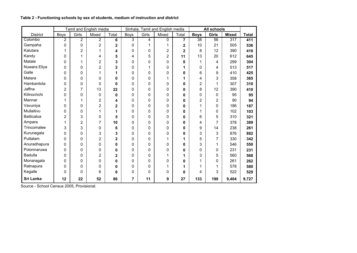|                   |                |                | Tamil and English media |                         |                |       | Sinhala, Tamil and English media |                |             | All schools    |              |              |
|-------------------|----------------|----------------|-------------------------|-------------------------|----------------|-------|----------------------------------|----------------|-------------|----------------|--------------|--------------|
| <b>District</b>   | Boys           | Girls          | Mixed                   | Total                   | <b>Boys</b>    | Girls | Mixed                            | Total          | <b>Boys</b> | <b>Girls</b>   | <b>Mixed</b> | <b>Total</b> |
| Colombo           | $\overline{2}$ | $\mathbf{2}$   | 2                       | 6                       | $\overline{3}$ | 4     | $\Omega$                         | 7              | 38          | 56             | 317          | 411          |
| Gampaha           | 0              | $\mathbf 0$    | $\overline{2}$          | 2                       | 0              |       | 1                                | 2              | 10          | 21             | 505          | 536          |
| Kalutara          | 1              | $\overline{2}$ | 1                       | 4                       | $\mathbf 0$    | 0     | $\overline{2}$                   | $\overline{c}$ | 8           | 12             | 390          | 410          |
| Kandy             | 0              | 1              | 4                       | 5                       | 4              | 5     | 2                                | 11             | 13          | 20             | 612          | 645          |
| Matale            | 0              | 1              | 2                       | 3                       | 0              | 0     | 0                                | 0              |             | 4              | 299          | 304          |
| Nuwara Eliya      | 0              | 0              | $\overline{2}$          | $\overline{\mathbf{2}}$ | 0              |       | 0                                | 1              | 0           | 4              | 513          | 517          |
| Galle             | $\mathbf 0$    | $\mathbf 0$    | 1                       | 1                       | 0              | 0     | 0                                | 0              | 6           | 9              | 410          | 425          |
| Matara            | $\mathbf 0$    | $\Omega$       | 0                       | 0                       | $\Omega$       | 0     | 1                                | 1              | 4           | 3              | 358          | 365          |
| Hambantota        | 0              | 0              | 0                       | 0                       | 0              | 0     | 0                                | 0              | 2           | 1              | 307          | 310          |
| Jaffna            | $\overline{2}$ | $\overline{7}$ | 13                      | 22                      | $\mathbf 0$    | 0     | 0                                | 0              | 8           | 12             | 390          | 410          |
| Kilinochchi       | 0              | 0              | 0                       | 0                       | 0              | 0     | 0                                | 0              | 0           | 0              | 95           | 95           |
| Mannar            | 1              | 1              | 2                       | 4                       | 0              | 0     | 0                                | 0              | 2           | 2              | 90           | 94           |
| Vavuniya          | $\mathbf 0$    | 0              | $\overline{2}$          | 2                       | 0              | 0     | 0                                | 0              | 1           | 0              | 186          | 187          |
| Mullaitivu        | 0              | 0              | 1                       | 1                       | 0              | 0     | 0                                | 0              | 1           | 0              | 102          | 103          |
| <b>Batticaloa</b> | $\overline{2}$ | 3              | 0                       | 5                       | 0              | 0     | 0                                | 0              | 6           | 5              | 310          | 321          |
| Ampara            | 1              | $\overline{2}$ | $\overline{7}$          | 10                      | 0              | 0     | 0                                | 0              | 4           | $\overline{7}$ | 378          | 389          |
| Trincomalee       | 3              | 3              | 0                       | 6                       | 0              | 0     | 0                                | 0              | 9           | 14             | 238          | 261          |
| Kurunegala        | 0              | 0              | 3                       | 3                       | 0              | 0     | 0                                | 0              | 3           | 3              | 876          | 882          |
| Puttalam          | $\mathbf 0$    | $\mathbf 0$    | $\overline{2}$          | $\overline{\mathbf{2}}$ | $\mathbf 0$    | 0     | 1                                | 1              | 5           | 7              | 330          | 342          |
| Anuradhapura      | 0              | 0              | 0                       | 0                       | 0              | 0     | 0                                | 0              | 3           | 1              | 546          | 550          |
| Polonnaruwa       | 0              | $\mathbf 0$    | $\mathbf 0$             | 0                       | 0              | 0     | $\Omega$                         | 0              | 0           | 0              | 231          | 231          |
| Badulla           | 0              | 0              | $\overline{2}$          | $\mathbf{2}$            | 0              | 0     | 1                                | 1              | 3           | 5              | 560          | 568          |
| Monaragala        | 0              | 0              | 0                       | 0                       | 0              | 0     | 0                                | 0              |             | 0              | 261          | 262          |
| Ratnapura         | 0              | 0              | 0                       | 0                       | 0              | 0     | 1                                | 1              | 1           | 1              | 578          | 580          |
| Kegalle           | $\mathbf 0$    | $\mathbf 0$    | 6                       | 6                       | 0              | 0     | 0                                | 0              | 4           | 3              | 522          | 529          |
| Sri Lanka         | 12             | 22             | 52                      | 86                      | $\overline{7}$ | 11    | 9                                | 27             | 133         | 190            | 9,404        | 9,727        |

#### **Table 2 - Functioning schools by sex of students, medium of instruction and district**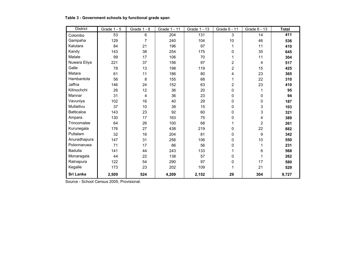| Table 3 - Government schools by functional grade span |  |
|-------------------------------------------------------|--|
|-------------------------------------------------------|--|

| <b>District</b>   | Grade 1 - 5 | Grade 1 - 8    | Grade 1 - 11 | Grade 1 - 13 | Grade 6 - 11   | Grade 6 - 13 | <b>Total</b> |
|-------------------|-------------|----------------|--------------|--------------|----------------|--------------|--------------|
| Colombo           | 53          | $\,6$          | 204          | 131          | 3              | 14           | 411          |
| Gampaha           | 129         | $\overline{7}$ | 240          | 104          | 10             | 46           | 536          |
| Kalutara          | 84          | 21             | 196          | 97           | 1              | 11           | 410          |
| Kandy             | 143         | 38             | 254          | 175          | 0              | 35           | 645          |
| Matale            | 99          | 17             | 106          | 70           | 1              | 11           | 304          |
| Nuwara Eliya      | 221         | 37             | 156          | 97           | $\overline{2}$ | 4            | 517          |
| Galle             | 78          | 13             | 198          | 119          | $\overline{2}$ | 15           | 425          |
| Matara            | 61          | 11             | 186          | 80           | 4              | 23           | 365          |
| Hambantota        | 56          | 8              | 155          | 68           | 1              | 22           | 310          |
| Jaffna            | 146         | 24             | 152          | 63           | $\overline{2}$ | 23           | 410          |
| Kilinochchi       | 26          | 12             | 36           | 20           | 0              | 1            | 95           |
| Mannar            | 31          | 4              | 36           | 23           | 0              | 0            | 94           |
| Vavuniya          | 102         | 16             | 40           | 29           | 0              | 0            | 187          |
| Mullaitivu        | 37          | 10             | 38           | 15           | 0              | 3            | 103          |
| <b>Batticaloa</b> | 143         | 23             | 92           | 60           | 0              | 3            | 321          |
| Ampara            | 130         | 17             | 163          | 75           | 0              | 4            | 389          |
| Trincomalee       | 64          | 26             | 100          | 68           | 1              | 2            | 261          |
| Kurunegala        | 176         | 27             | 438          | 219          | 0              | 22           | 882          |
| Puttalam          | 32          | 16             | 204          | 81           | 0              | 9            | 342          |
| Anuradhapura      | 147         | 31             | 256          | 106          | 0              | 10           | 550          |
| Polonnaruwa       | 71          | 17             | 86           | 56           | 0              | 1            | 231          |
| <b>Badulla</b>    | 141         | 44             | 243          | 133          | 1              | 6            | 568          |
| Monaragala        | 44          | 22             | 138          | 57           | 0              | 1            | 262          |
| Ratnapura         | 122         | 54             | 290          | 97           | 0              | 17           | 580          |
| Kegalle           | 173         | 23             | 202          | 109          | 1              | 21           | 529          |
| Sri Lanka         | 2,509       | 524            | 4,209        | 2,152        | 29             | 304          | 9,727        |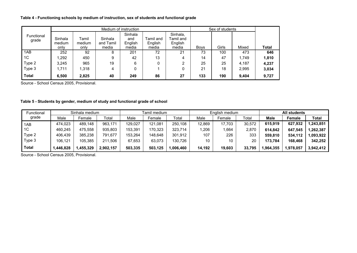#### **Table 4 - Functioning schools by medium of instruction, sex of students and functional grade**

|                     |                           |                         |                               | Medium of instruction              |                               |                                           | Sex of students |       |       |       |
|---------------------|---------------------------|-------------------------|-------------------------------|------------------------------------|-------------------------------|-------------------------------------------|-----------------|-------|-------|-------|
| Functional<br>grade | Sinhala<br>medium<br>only | Tamil<br>medium<br>only | Sinhala<br>and Tamil<br>media | Sinhala<br>and<br>English<br>media | Famil and<br>English<br>media | Sinhala,<br>Tamil and<br>English<br>media | <b>Boys</b>     | Girls | Mixed | Total |
| 1AB                 | 252                       | 92                      | 8                             | 201                                | 72                            | 21                                        | 73              | 100   | 473   | 646   |
| 1 <sup>C</sup>      | 1,292                     | 450                     | 9                             | 42                                 | 13                            | 4                                         | 14              | 47    | 1,749 | 1,810 |
| Type 2              | 3.245                     | 965                     | 19                            | 6                                  | 0                             | ົ                                         | 25              | 25    | 4.187 | 4,237 |
| Type 3              | 1.711                     | 1.318                   | 4                             | 0                                  |                               |                                           | 21              | 18    | 2,995 | 3,034 |
| <b>Total</b>        | 6,500                     | 2,825                   | 40                            | 249                                | 86                            | 27                                        | 133             | 190   | 9,404 | 9,727 |

Source - School Census 2005, Provisional.

#### **Table 5 - Students by gender, medium of study and functional grade of school**

| Functional |          | Sinhala medium |           |         | Tamil medium |          |        | English medium |        |          | <b>All students</b> |           |
|------------|----------|----------------|-----------|---------|--------------|----------|--------|----------------|--------|----------|---------------------|-----------|
| grade      | Male     | Female         | Total     | Male    | Female       | Total    | Male   | Female         | Total  | Male     | <b>Female</b>       | Total     |
| 1AB        | 474.023  | 489,148        | 963,171   | 129,027 | 121.081      | 250.108  | 12,869 | 17,703         | 30,572 | 615.919  | 627,932             | 1,243,851 |
| 1C         | 460.245  | 475.558        | 935.803   | 153.391 | 170.323      | 323,714  | 1,206  | ,664           | 2,870  | 614.842  | 647.545             | 1,262,387 |
| Type 2     | 406.439  | 385.238        | 791.677   | 153.264 | 148.648      | 301.912  | 107    | 226            | 333    | 559.810  | 534.112             | ,093,922  |
| Type 3     | 106.121  | 105.385        | 211.506   | 67.653  | 63.073       | 130.726  | 10     | 10             | 20     | 173.784  | 168,468             | 342,252   |
| Total      | ,446,828 | ,455,329       | 2,902,157 | 503,335 | 503.125      | .006.460 | 14.192 | 19,603         | 33,795 | ,964,355 | ,978,057            | 3,942,412 |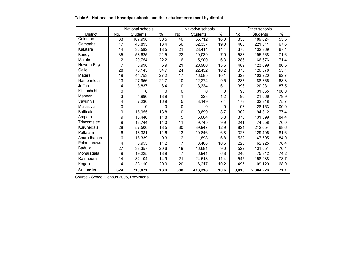|                   |                | National schools |          |                | Navodya schools |              |       | Other schools   |       |
|-------------------|----------------|------------------|----------|----------------|-----------------|--------------|-------|-----------------|-------|
| <b>District</b>   | No.            | <b>Students</b>  | $\%$     | No.            | <b>Students</b> | $\%$         | No.   | <b>Students</b> | $\%$  |
| Colombo           | 33             | 107,998          | 30.5     | 40             | 56,712          | 16.0         | 338   | 189,624         | 53.5  |
| Gampaha           | 17             | 43,895           | 13.4     | 56             | 62,337          | 19.0         | 463   | 221,511         | 67.6  |
| Kalutara          | 14             | 36,582           | 18.5     | 21             | 28,414          | 14.4         | 375   | 132,369         | 67.1  |
| Kandy             | 35             | 58,625           | 21.5     | 22             | 19,039          | 7.0          | 588   | 195,568         | 71.6  |
| Matale            | 12             | 20,754           | 22.2     | 6              | 5,900           | 6.3          | 286   | 66,676          | 71.4  |
| Nuwara Eliya      | $\overline{7}$ | 8,998            | 5.9      | 21             | 20,900          | 13.6         | 489   | 123,699         | 80.5  |
| Galle             | 28             | 76,143           | 34.7     | 24             | 22,452          | 10.2         | 373   | 120,878         | 55.1  |
| Matara            | 19             | 44,753           | 27.2     | 17             | 16,585          | 10.1         | 329   | 103,220         | 62.7  |
| Hambantota        | 13             | 27,956           | 21.7     | 10             | 12,274          | 9.5          | 287   | 88,866          | 68.8  |
| Jaffna            | 4              | 8,837            | 6.4      | 10             | 8,334           | 6.1          | 396   | 120,081         | 87.5  |
| Kilinochchi       | $\Omega$       | $\Omega$         | $\Omega$ | $\Omega$       | 0               | $\mathbf{0}$ | 95    | 31,665          | 100.0 |
| Mannar            | 3              | 4,990            | 18.9     | 1              | 323             | 1.2          | 90    | 21,066          | 79.9  |
| Vavuniya          | 4              | 7,230            | 16.9     | 5              | 3,149           | 7.4          | 178   | 32,318          | 75.7  |
| Mullaitivu        | $\mathbf{0}$   | 0                | 0        | $\Omega$       | $\Omega$        | $\mathbf{0}$ | 103   | 28,153          | 100.0 |
| <b>Batticaloa</b> | 9              | 16,955           | 13.8     | 10             | 10,699          | 8.7          | 302   | 94,812          | 77.4  |
| Ampara            | 9              | 18,440           | 11.8     | 5              | 6,004           | 3.8          | 375   | 131,899         | 84.4  |
| Trincomalee       | 9              | 13,744           | 14.0     | 11             | 9,745           | 9.9          | 241   | 74,558          | 76.0  |
| Kurunegala        | 28             | 57,500           | 18.5     | 30             | 39,947          | 12.9         | 824   | 212,654         | 68.6  |
| Puttalam          | 6              | 18,381           | 11.6     | 13             | 10,846          | 6.8          | 323   | 129,406         | 81.6  |
| Anuradhapura      | 6              | 16,339           | 9.3      | 12             | 11,898          | 6.8          | 532   | 147,795         | 84.0  |
| Polonnaruwa       | 4              | 8,955            | 11.2     | $\overline{7}$ | 8,408           | 10.5         | 220   | 62,925          | 78.4  |
| <b>Badulla</b>    | 27             | 38,357           | 20.6     | 19             | 16,681          | 9.0          | 522   | 131,051         | 70.4  |
| Monaragala        | 9              | 19,225           | 18.9     | 7              | 6,941           | 6.8          | 246   | 75,312          | 74.2  |
| Ratnapura         | 14             | 32,104           | 14.9     | 21             | 24,513          | 11.4         | 545   | 158,988         | 73.7  |
| Kegalle           | 14             | 33,110           | 20.9     | 20             | 16,217          | 10.2         | 495   | 109,129         | 68.9  |
| Sri Lanka         | 324            | 719,871          | 18.3     | 388            | 418,318         | 10.6         | 9,015 | 2,804,223       | 71.1  |

#### **Table 6 - National and Navodya schools and their student enrolment by district**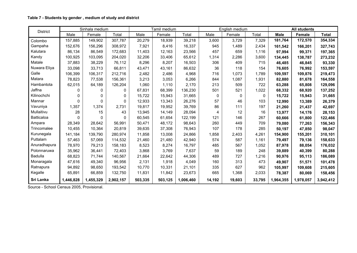#### **Table 7 - Students by gender , medium of study and district**

| <b>District</b> |           | Sinhala medium |           |         | Tamil medium |           |              | English medium |        |             | <b>All students</b> |              |
|-----------------|-----------|----------------|-----------|---------|--------------|-----------|--------------|----------------|--------|-------------|---------------------|--------------|
|                 | Male      | Female         | Total     | Male    | Female       | Total     | Male         | Female         | Total  | <b>Male</b> | <b>Female</b>       | <b>Total</b> |
| Colombo         | 157,885   | 149,902        | 307,787   | 20,279  | 18,939       | 39,218    | 3,600        | 3,729          | 7,329  | 181,764     | 172,570             | 354,334      |
| Gampaha         | 152,676   | 156,296        | 308,972   | 7,921   | 8,416        | 16,337    | 945          | 1,489          | 2,434  | 161,542     | 166,201             | 327,743      |
| Kalutara        | 86,134    | 86,549         | 172,683   | 11,403  | 12,163       | 23,566    | 457          | 659            | 1,116  | 97,994      | 99,371              | 197,365      |
| Kandy           | 100,925   | 103,095        | 204,020   | 32,206  | 33,406       | 65,612    | 1,314        | 2,286          | 3,600  | 134,445     | 138,787             | 273,232      |
| Matale          | 37,883    | 38,229         | 76,112    | 8,296   | 8,207        | 16,503    | 306          | 409            | 715    | 46,485      | 46,845              | 93,330       |
| Nuwara Eliya    | 33,098    | 33,713         | 66,811    | 43,471  | 43,161       | 86,632    | 36           | 118            | 154    | 76,605      | 76,992              | 153,597      |
| Galle           | 106,399   | 106,317        | 212,716   | 2,482   | 2,486        | 4,968     | 716          | 1,073          | 1,789  | 109,597     | 109,876             | 219,473      |
| Matara          | 78,823    | 77,538         | 156,361   | 3,213   | 3,053        | 6,266     | 844          | 1,087          | 1,931  | 82,880      | 81,678              | 164,558      |
| Hambantota      | 62,015    | 64,189         | 126,204   | 1,060   | 1,110        | 2,170     | 213          | 509            | 722    | 63,288      | 65,808              | 129,096      |
| Jaffna          | 0         | 0              | 0         | 67,831  | 68,399       | 136,230   | 501          | 521            | 1,022  | 68,332      | 68,920              | 137,252      |
| Kilinochchi     | 0         | 0              | 0         | 15,722  | 15,943       | 31,665    | $\mathbf{0}$ | 0              | 0      | 15,722      | 15,943              | 31,665       |
| Mannar          | 0         | 0              | 0         | 12,933  | 13,343       | 26,276    | 57           | 46             | 103    | 12,990      | 13,389              | 26,379       |
| Vavuniya        | 1,357     | 1,374          | 2,731     | 19,817  | 19,952       | 39,769    | 86           | 111            | 197    | 21,260      | 21,437              | 42,697       |
| Mullaitivu      | 28        | 15             | 43        | 13,945  | 14,149       | 28,094    | 4            | 12             | 16     | 13,977      | 14,176              | 28,153       |
| Batticaloa      | 0         | 0              | 0         | 60,545  | 61,654       | 122,199   | 121          | 146            | 267    | 60,666      | 61,800              | 122,466      |
| Ampara          | 28,349    | 28,642         | 56,991    | 50,471  | 48,172       | 98,643    | 260          | 449            | 709    | 79,080      | 77,263              | 156,343      |
| Trincomalee     | 10,455    | 10,364         | 20,819    | 39,635  | 37,308       | 76,943    | 107          | 178            | 285    | 50,197      | 47,850              | 98,047       |
| Kurunegala      | 141,184   | 139,790        | 280,974   | 11,858  | 13,008       | 24,866    | 1,858        | 2,403          | 4,261  | 154,900     | 155,201             | 310,101      |
| Puttalam        | 57,463    | 57,069         | 114,532   | 21,460  | 21,480       | 42,940    | 574          | 587            | 1,161  | 79,497      | 79,136              | 158,633      |
| Anuradhapura    | 78,970    | 79,213         | 158,183   | 8,523   | 8,274        | 16,797    | 485          | 567            | 1,052  | 87,978      | 88,054              | 176,032      |
| Polonnaruwa     | 35,962    | 36,441         | 72,403    | 3,868   | 3,769        | 7,637     | 59           | 189            | 248    | 39,889      | 40,399              | 80,288       |
| <b>Badulla</b>  | 68,823    | 71,744         | 140,567   | 21,664  | 22,642       | 44,306    | 489          | 727            | 1,216  | 90,976      | 95,113              | 186,089      |
| Monaragala      | 47,616    | 49,340         | 96,956    | 2,131   | 1,918        | 4,049     | 160          | 313            | 473    | 49,907      | 51,571              | 101,478      |
| Ratnapura       | 94,892    | 98,650         | 193,542   | 10,770  | 10,331       | 21,101    | 335          | 627            | 962    | 105,997     | 109,608             | 215,605      |
| Kegalle         | 65,891    | 66,859         | 132,750   | 11,831  | 11,842       | 23,673    | 665          | 1,368          | 2,033  | 78,387      | 80,069              | 158,456      |
| Sri Lanka       | 1,446,828 | 1,455,329      | 2,902,157 | 503,335 | 503,125      | 1,006,460 | 14,192       | 19,603         | 33,795 | 1,964,355   | 1,978,057           | 3,942,412    |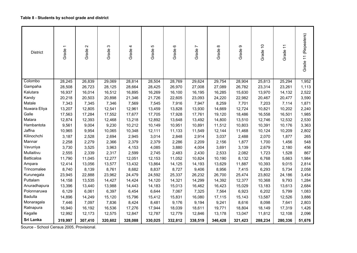#### **Table 8 - Students by school grade and district**

| <b>District</b> | Grade 1 | $\mathbf{\Omega}$<br>Grade: | S<br>Grade | 4<br>Grade | 5<br>Grade | $\circ$<br>Grade | r<br>Grade <sup>-</sup> | $\infty$<br>Grade | တ<br>Grade | $\tilde{=}$<br>Grade · | Grade 11 | Grade 11 (Repeaters) |
|-----------------|---------|-----------------------------|------------|------------|------------|------------------|-------------------------|-------------------|------------|------------------------|----------|----------------------|
| Colombo         | 28,245  | 26,839                      | 29,069     | 28,814     | 28,504     | 28,769           | 29,624                  | 29,754            | 28,904     | 25,813                 | 25,294   | 1,952                |
| Gampaha         | 28,508  | 26,723                      | 28,125     | 28,664     | 28,425     | 26,970           | 27,008                  | 27,089            | 26,782     | 23,314                 | 23,261   | 1,113                |
| Kalutara        | 16,937  | 16,014                      | 16,512     | 16,895     | 16,269     | 16,100           | 16,195                  | 16,285            | 15,630     | 13,970                 | 14,132   | 2,522                |
| Kandy           | 20,218  | 20,503                      | 20,898     | 21,346     | 21,726     | 22,605           | 23,093                  | 24,220            | 22,982     | 20,467                 | 20,477   | 3,590                |
| Matale          | 7,343   | 7,345                       | 7,346      | 7,569      | 7,545      | 7,916            | 7,947                   | 8,259             | 7,701      | 7,203                  | 7,114    | 1,871                |
| Nuwara Eliya    | 13,207  | 12,805                      | 12,541     | 12,961     | 13,459     | 13,828           | 13,930                  | 14,669            | 12,724     | 10,821                 | 10,202   | 2,240                |
| Galle           | 17,563  | 17,284                      | 17,552     | 17,677     | 17,705     | 17,928           | 17,761                  | 19,120            | 18,486     | 16,558                 | 16,501   | 1,985                |
| Matara          | 12,874  | 12,393                      | 12,468     | 13,218     | 12,892     | 13,648           | 13,492                  | 14,800            | 13,510     | 12,746                 | 12,532   | 2,530                |
| Hambantota      | 9,561   | 9,004                       | 9,230      | 10,212     | 10,149     | 10,951           | 10,891                  | 11,512            | 10,803     | 10,391                 | 10,176   | 3,363                |
| Jaffna          | 10,965  | 9,954                       | 10,065     | 10,348     | 12,111     | 11,133           | 11,549                  | 12,144            | 11,468     | 10,124                 | 10,209   | 2,802                |
| Kilinochchi     | 3,187   | 2,528                       | 2,694      | 2,945      | 3,014      | 2,848            | 2,914                   | 3,037             | 2,488      | 2,070                  | 1,877    | 265                  |
| Mannar          | 2,258   | 2,279                       | 2,366      | 2,379      | 2,379      | 2,286            | 2,209                   | 2,156             | 1,877      | 1,700                  | 1,456    | 548                  |
| Vavuniya        | 3,730   | 3,525                       | 3,963      | 4,153      | 4,085      | 3,880            | 4,004                   | 3,691             | 3,139      | 2,679                  | 2,180    | 456                  |
| Mullaitivu      | 2,555   | 2,339                       | 2,317      | 2,599      | 2,745      | 2,483            | 2,430                   | 2,533             | 2,082      | 1,723                  | 1,528    | 867                  |
| Batticaloa      | 11,790  | 11,045                      | 12,277     | 12,051     | 12,153     | 11,052           | 10,824                  | 10,190            | 8,132      | 6,768                  | 5,663    | 1,984                |
| Ampara          | 12,414  | 13,056                      | 13,577     | 13,432     | 13,864     | 14,125           | 14,193                  | 13,629            | 11,887     | 10,393                 | 9,015    | 2,814                |
| Trincomalee     | 8,740   | 8,139                       | 8,761      | 8,682      | 8,837      | 8,727            | 9,406                   | 8,956             | 7,415      | 6,293                  | 5,734    | 2,058                |
| Kurunegala      | 23,945  | 22,888                      | 23,962     | 24,479     | 24,592     | 25,337           | 26,232                  | 26,700            | 25,474     | 23,802                 | 24,186   | 3,454                |
| Puttalam        | 14,158  | 13,535                      | 14,427     | 14,424     | 14,120     | 14,321           | 14,299                  | 14,392            | 12,377     | 10,368                 | 9,793    | 1,284                |
| Anuradhapura    | 13,396  | 13,440                      | 13,988     | 14,443     | 14,183     | 15,013           | 16,462                  | 16,423            | 15,029     | 13,183                 | 13,613   | 2,684                |
| Polonnaruwa     | 6,129   | 6,061                       | 6,397      | 6,454      | 6,644      | 7,067            | 7,325                   | 7,564             | 6,923      | 6,202                  | 5,799    | 1,083                |
| Badulla         | 14,896  | 14,249                      | 15,120     | 15,796     | 15,412     | 15,831           | 16,080                  | 17,115            | 15,143     | 13,587                 | 12,526   | 3,886                |
| Monaragala      | 7,446   | 7,097                       | 7,836      | 8,424      | 8,481      | 9,176            | 9,194                   | 9,241             | 8,616      | 8,098                  | 7,641    | 2,803                |
| Ratnapura       | 16,940  | 16,192                      | 16,536     | 17,276     | 17,944     | 18,039           | 18,611                  | 19,771            | 18,804     | 18,149                 | 17,319   | 1,426                |
| Kegalle         | 12,992  | 12,173                      | 12,575     | 12,847     | 12,787     | 12,779           | 12,846                  | 13,178            | 13,047     | 11,812                 | 12,108   | 2,096                |
| Sri Lanka       | 319,997 | 307,410                     | 320,602    | 328,088    | 330,025    | 332,812          | 338,519                 | 346,428           | 321,423    | 288,234                | 280,336  | 51,676               |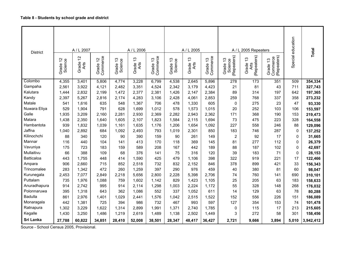| <b>District</b>       |                              | A / L 2007<br>$\frac{1}{2}$ | 57                | $\frac{3}{2}$                 | A / L 2006<br>13 |                      | $\frac{3}{2}$       | A / L 2005<br>13 |                      |                                    | A / L 2005 Repeaters<br>13   |                                     | Special education | Total              |
|-----------------------|------------------------------|-----------------------------|-------------------|-------------------------------|------------------|----------------------|---------------------|------------------|----------------------|------------------------------------|------------------------------|-------------------------------------|-------------------|--------------------|
|                       | Grade 12<br>Science<br>Grade | Grade<br>Arts               | Commerce<br>Grade | Science<br>Grade <sup>-</sup> | Grade<br>Arts    | Grade 13<br>Commerce | Grade 13<br>Science | Grade ·<br>Arts  | Grade 13<br>Commerce | Science<br>(Repeaters)<br>Grade 13 | (Repeaters)<br>Grade<br>Arts | Grade 13<br>Commerce<br>(Repeaters) |                   |                    |
| Colombo               | 4,355                        | 3,401                       | 5,806             | 4,774                         | 3,228            | 6,799                | 4,538               | 2,645            | 5,896                | 278                                | 173                          | 351                                 | 509               | 354,334            |
| Gampaha               | 2,561                        | 3,922                       | 4,121             | 2,482                         | 3,351            | 4,524                | 2,342               | 3,179            | 4,423                | 21                                 | 81                           | 43                                  | 711               | 327,743            |
| Kalutara              | 1,444                        | 2,832                       | 2,199             | 1,472                         | 2,377            | 2,381                | 1,426               | 2,147            | 2,384                | 89                                 | 314                          | 197                                 | 642               | 197,365            |
| Kandy                 | 2,397                        | 5,267                       | 2,816             | 2,174                         | 4,283            | 3,106                | 2,428               | 4,061            | 2,853                | 259                                | 768                          | 337                                 | 358               | 273,232            |
| Matale                | 541                          | 1,616                       | 635               | 548                           | 1,367            | 706                  | 478                 | 1,330            | 605                  | $\mathbf 0$                        | 275                          | 23                                  | 47                | 93,330             |
| Nuwara Eliya<br>Galle | 529<br>1,935                 | 1,904                       | 791<br>2,160      | 628                           | 1,699            | 1,012                | 578                 | 1,573            | 1,015                | 20<br>171                          | 252<br>368                   | 103<br>190                          | 106<br>153        | 153,597            |
| Matara                | 1,438                        | 3,209<br>2,350              | 1,640             | 2,281<br>1,605                | 2,930<br>2,107   | 2,369<br>1,823       | 2,282<br>1,584      | 2,943<br>2,115   | 2,362<br>1,694       | 73                                 | 475                          | 223                                 | 328               | 219,473            |
| Hambantota            | 939                          | 1,832                       | 1,039             | 1,161                         | 1,635            | 1,176                | 1,206               | 1,654            | 1,092                | 227                                | 558                          | 246                                 | 88                | 164,558<br>129,096 |
| Jaffna                | 1,040                        | 2,892                       | 684               | 1,092                         | 2,493            | 793                  | 1,019               | 2,301            | 850                  | 183                                | 746                          | 287                                 | 0                 | 137,252            |
| Kilinochchi           | 88                           | 340                         | 120               | 90                            | 390              | 159                  | 90                  | 261              | 149                  | $\overline{2}$                     | 92                           | 17                                  | 0                 | 31,665             |
| Mannar                | 116                          | 440                         | 104               | 141                           | 413              | 170                  | 118                 | 369              | 145                  | 81                                 | 277                          | 112                                 | 0                 | 26,379             |
| Vavuniya              | 175                          | 723                         | 183               | 159                           | 589              | 208                  | 167                 | 442              | 189                  | 88                                 | 187                          | 102                                 | 0                 | 42,697             |
| Mullaitivu            | 66                           | 388                         | 109               | 68                            | 376              | 141                  | 75                  | 316              | 120                  | 39                                 | 183                          | 71                                  | 0                 | 28,153             |
| <b>Batticaloa</b>     | 443                          | 1,755                       | 448               | 414                           | 1,590            | 425                  | 479                 | 1,106            | 398                  | 322                                | 919                          | 221                                 | 17                | 122,466            |
| Ampara                | 906                          | 2,660                       | 715               | 852                           | 2,518            | 732                  | 832                 | 2,152            | 846                  | 378                                | 899                          | 421                                 | 33                | 156,343            |
| Trincomalee           | 283                          | 1,342                       | 472               | 260                           | 1,259            | 397                  | 290                 | 976              | 459                  | 40                                 | 380                          | 81                                  | 60                | 98,047             |
| Kurunegala            | 2,453                        | 7,077                       | 2,849             | 2,218                         | 5,656            | 2,800                | 2,228               | 5,398            | 2,706                | 74                                 | 760                          | 141                                 | 690               | 310,101            |
| Puttalam              | 735                          | 1,976                       | 1,088             | 759                           | 1,602            | 1,142                | 829                 | 1,423            | 1,105                | 25                                 | 205                          | 63                                  | 183               | 158,633            |
| Anuradhapura          | 914                          | 2,742                       | 995               | 914                           | 2,114            | 1,298                | 1,003               | 2,224            | 1,172                | 55                                 | 328                          | 148                                 | 268               | 176,032            |
| Polonnaruwa           | 395                          | 1,318                       | 643               | 362                           | 1,086            | 552                  | 337                 | 1,052            | 611                  | 14                                 | 129                          | 63                                  | 78                | 80,288             |
| Badulla               | 861                          | 2,976                       | 1,401             | 1,029                         | 2,441            | 1,576                | 1,042               | 2,515            | 1,522                | 152                                | 556                          | 226                                 | 151               | 186,089            |
| Monaragala            | 442                          | 1,381                       | 725               | 394                           | 986              | 732                  | 467                 | 993              | 597                  | 127                                | 354                          | 153                                 | 74                | 101,478            |
| Ratnapura             | 1,302                        | 3,229                       | 1,622             | 1,314                         | 2,899            | 1,991                | 1,371               | 2,740            | 1,785                | 0                                  | 115                          | 17                                  | 213               | 215,605            |
| Kegalle               | 1,430                        | 3,250                       | 1,486             | 1,219                         | 2,619            | 1,489                | 1,138               | 2,502            | 1,449                | 3                                  | 272                          | 58                                  | 301               | 158,456            |
| Sri Lanka             | 27,788                       | 60,822                      | 34,851            | 28,410                        | 52,008           | 38,501               | 28,347              | 48,417           | 36,427               | 2,721                              | 9,666                        | 3,894                               | 5,010             | 3,942,412          |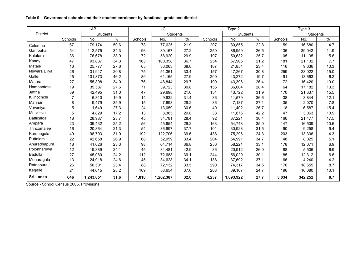|                 |                | 1AB       | 1 <sup>C</sup><br>Students |         |           | Type 2 |         |           | Type 3 |         |                 |      |
|-----------------|----------------|-----------|----------------------------|---------|-----------|--------|---------|-----------|--------|---------|-----------------|------|
| <b>District</b> |                | Students  |                            |         |           |        |         | Students  |        |         | <b>Students</b> |      |
|                 | Schools        | No.       | $\%$                       | Schools | No.       | $\%$   | Schools | No.       | $\%$   | Schools | No.             | $\%$ |
| Colombo         | 67             | 179,174   | 50.6                       | 78      | 77,625    | 21.9   | 207     | 80,855    | 22.8   | 59      | 16,680          | 4.7  |
| Gampaha         | 54             | 112,575   | 34.3                       | 96      | 89,167    | 27.2   | 250     | 86,959    | 26.5   | 136     | 39,042          | 11.9 |
| Kalutara        | 36             | 76,678    | 38.9                       | 72      | 58,920    | 29.9   | 197     | 50,632    | 25.7   | 105     | 11,135          | 5.6  |
| Kandy           | 47             | 93,837    | 34.3                       | 163     | 100,358   | 36.7   | 254     | 57,905    | 21.2   | 181     | 21,132          | 7.7  |
| Matale          | 16             | 25,777    | 27.6                       | 65      | 36,063    | 38.6   | 107     | 21,854    | 23.4   | 116     | 9,636           | 10.3 |
| Nuwara Eliya    | 26             | 31,947    | 20.8                       | 75      | 51,361    | 33.4   | 157     | 47,267    | 30.8   | 259     | 23,022          | 15.0 |
| Galle           | 45             | 101,373   | 46.2                       | 89      | 61,165    | 27.9   | 200     | 43,272    | 19.7   | 91      | 13,663          | 6.2  |
| Matara          | 27             | 55,898    | 34.0                       | 76      | 48,844    | 29.7   | 190     | 43,396    | 26.4   | 72      | 16,420          | 10.0 |
| Hambantota      | 19             | 35,587    | 27.6                       | 71      | 39,723    | 30.8   | 156     | 36,604    | 28.4   | 64      | 17.182          | 13.3 |
| Jaffna          | 39             | 42,495    | 31.0                       | 47      | 29,698    | 21.6   | 154     | 43,722    | 31.9   | 170     | 21,337          | 15.5 |
| Kilinochchi     | $\overline{7}$ | 6,310     | 19.9                       | 14      | 9,932     | 31.4   | 36      | 11,579    | 36.6   | 38      | 3,844           | 12.1 |
| Mannar          | 8              | 9,479     | 35.9                       | 15      | 7,693     | 29.2   | 36      | 7,137     | 27.1   | 35      | 2,070           | 7.8  |
| Vavuniya        | 5              | 11,649    | 27.3                       | 24      | 13,059    | 30.6   | 40      | 11,402    | 26.7   | 118     | 6,587           | 15.4 |
| Mullaitivu      | $5\phantom{1}$ | 4,829     | 17.2                       | 13      | 8,385     | 29.8   | 38      | 11,876    | 42.2   | 47      | 3,063           | 10.9 |
| Batticaloa      | 18             | 28,987    | 23.7                       | 45      | 34,781    | 28.4   | 92      | 37,221    | 30.4   | 166     | 21,477          | 17.5 |
| Ampara          | 23             | 39,432    | 25.2                       | 56      | 45,654    | 29.2   | 163     | 54,748    | 35.0   | 147     | 16,509          | 10.6 |
| Trincomalee     | 16             | 20,864    | 21.3                       | 54      | 36,997    | 37.7   | 101     | 30,928    | 31.5   | 90      | 9,258           | 9.4  |
| Kurunegala      | 49             | 98,793    | 31.9                       | 192     | 122,706   | 39.6   | 438     | 75,296    | 24.3   | 203     | 13,306          | 4.3  |
| Puttalam        | 22             | 42,658    | 26.9                       | 68      | 52,959    | 33.4   | 204     | 54,991    | 34.7   | 48      | 8,025           | 5.1  |
| Anuradhapura    | 18             | 41,026    | 23.3                       | 98      | 64,714    | 36.8   | 256     | 58,221    | 33.1   | 178     | 12,071          | 6.9  |
| Polonnaruwa     | 12             | 19,389    | 24.1                       | 45      | 34,481    | 42.9   | 86      | 20,912    | 26.0   | 88      | 5,506           | 6.9  |
| Badulla         | 27             | 45,060    | 24.2                       | 112     | 72,688    | 39.1   | 244     | 56,029    | 30.1   | 185     | 12,312          | 6.6  |
| Monaragala      | 13             | 24,918    | 24.6                       | 45      | 34,628    | 34.1   | 138     | 37,692    | 37.1   | 66      | 4,240           | 4.2  |
| Ratnapura       | 26             | 50,501    | 23.4                       | 88      | 72,132    | 33.5   | 290     | 74,317    | 34.5   | 176     | 18,655          | 8.7  |
| Kegalle         | 21             | 44,615    | 28.2                       | 109     | 58,654    | 37.0   | 203     | 39,107    | 24.7   | 196     | 16,080          | 10.1 |
| Sri Lanka       | 646            | 1,243,851 | 31.6                       | 1,810   | 1,262,387 | 32.0   | 4,237   | 1,093,922 | 27.7   | 3,034   | 342,252         | 8.7  |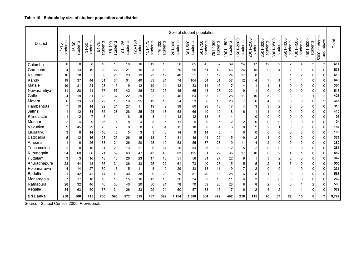|                 |                 |                      |                       |                       |                    |                         |                                                |                     |                       | Size of student population |                         |                     |                         |                       |                       |                         |                         |                             |                       |                       |                       |                                  |       |
|-----------------|-----------------|----------------------|-----------------------|-----------------------|--------------------|-------------------------|------------------------------------------------|---------------------|-----------------------|----------------------------|-------------------------|---------------------|-------------------------|-----------------------|-----------------------|-------------------------|-------------------------|-----------------------------|-----------------------|-----------------------|-----------------------|----------------------------------|-------|
| <b>District</b> | students<br>-15 | students<br>-30<br>ڞ | students<br>$31 - 50$ | students<br>$51 - 75$ | students<br>76-100 | students<br>$101 - 125$ | 26-150<br>students<br>$\overline{\phantom{0}}$ | students<br>151-175 | 176-200<br>students   | students<br>$-300$<br>201  | $301 - 500$<br>students | students<br>501-750 | 751-1000<br>students    | 1001-1500<br>students | 1501-2000<br>students | 2001-2500<br>students   | 2501-3000<br>students   | $-3500$<br>students<br>3001 | 3501-4000<br>students | 4001-4500<br>students | 4501-5000<br>students | students<br>above<br>and<br>5000 | Total |
| Colombo         | $\Omega$        | 8                    | 8                     | 16                    | 10                 | 10                      | 16                                             | 19                  | 13                    | 56                         | 65                      | 45                  | 32                      | 39                    | 24                    | 17                      | 12                      | 9                           | $\overline{c}$        | 4                     | 3                     | 3                                | 411   |
| Gampaha         | 4               | 13                   | 19                    | 29                    | 22                 | 21                      | 15                                             | 25                  | 19                    | 70                         | 95                      | 61                  | 42                      | 46                    | 24                    | 15                      | 9                       | $\overline{4}$              | 2                     | $\mathbf{1}$          | 0                     | $\mathbf 0$                      | 536   |
| Kalutara        | 10              | 18                   | 35                    | 30                    | 28                 | 23                      | 19                                             | 23                  | 19                    | 40                         | 51                      | 37                  | 17                      | 24                    | 17                    | 8                       | 5                       | 3                           | $\mathbf{1}$          | 2                     | 0                     | $\mathbf 0$                      | 410   |
| Kandy           | 19              | 37                   | 44                    | 51                    | 34                 | 31                      | 40                                             | 33                  | 24                    | 74                         | 104                     | 54                  | 31                      | 37                    | 12                    | $\overline{4}$          | $\overline{7}$          | $\overline{4}$              |                       | 4                     | 0                     | $\mathbf 0$                      | 645   |
| Matale          | 19              | 31                   | 24                    | 23                    | 15                 | 19                      | 12                                             | 19                  | 14                    | 42                         | 33                      | 14                  | 15                      | 17                    | $\overline{4}$        | $\overline{1}$          | $\mathbf{1}$            | $\mathbf{1}$                | 0                     | 0                     | 0                     | $\mathbf 0$                      | 304   |
| Nuwara Eliya    | 11              | 28                   | 41                    | 57                    | 57                 | 42                      | 26                                             | 22                  | 25                    | 45                         | 65                      | 43                  | 23                      | 22                    | 9                     | $\mathbf{1}$            | $\Omega$                | $\Omega$                    | $\mathbf 0$           | 0                     | 0                     | $\Omega$                         | 517   |
| Galle           | 4               | 19                   | 31                    | 18                    | 37                 | 22                      | 29                                             | 22                  | 18                    | 46                         | 64                      | 33                  | 19                      | 28                    | 11                    | 10                      | 5                       | $\overline{2}$              | 3                     | $\overline{1}$        | 1                     | $\overline{2}$                   | 425   |
| Matara          | 6               | 13                   | 21                    | 29                    | 15                 | 19                      | 25                                             | 19                  | 16                    | 54                         | 53                      | 36                  | 18                      | 20                    | 7                     | 6                       | 4                       | $\overline{2}$              | $\mathbf 0$           | $\mathbf 0$           | $\Omega$              | $\overline{2}$                   | 365   |
| Hambantota      |                 | 10                   | 14                    | 22                    | 21                 | 27                      | 11                                             | 19                  | 9                     | 38                         | 60                      | 28                  | 13                      | 17                    | 4                     | 3                       | 3                       | $\overline{2}$              | 2                     | 0                     | 0                     | $\Omega$                         | 310   |
| Jaffna          |                 | 12                   | 34                    | 35                    | 28                 | 28                      | 25                                             | 25                  | 13                    | 58                         | 66                      | 40                  | 19                      | 18                    | 6                     | $\overline{1}$          |                         | $\Omega$                    | $\mathbf 0$           | 0                     | $\Omega$              | $\Omega$                         | 410   |
| Kilinochchi     |                 | 2                    | 7                     | 5                     | 11                 | 8                       | 5                                              | 3                   | $\overline{4}$        | 13                         | 12                      | 13                  | 6                       | 4                     |                       | $\mathbf 0$             | 0                       | $\Omega$                    | 0                     | 0                     | 0                     | $\Omega$                         | 95    |
| Mannar          | 2               | 4                    | 9                     | 16                    | 5                  | 8                       | 4                                              | 3                   | 5                     | 11                         | 9                       | 9                   | 5                       | 2                     | $\overline{2}$        | $\mathbf 0$             | 0                       | $\Omega$                    | $\mathbf 0$           | 0                     | 0                     | $\Omega$                         | 94    |
| Vavuniya        | 9               | 45                   | 29                    | 23                    | $\overline{2}$     | 8                       | 8                                              | 6                   | $\boldsymbol{\Delta}$ | 15                         | 18                      | 8                   | $\overline{\mathbf{4}}$ | 3                     | $\Omega$              | $\overline{2}$          | $\overline{2}$          | 1                           | 0                     | 0                     | 0                     | $\Omega$                         | 187   |
| Mullaitivu      | 3               | 8                    | 14                    | 10                    | 5                  | 5                       | 3                                              | 3                   | 6                     | 14                         | 9                       | 14                  | 5                       | 4                     | $\Omega$              | $\Omega$                | 0                       | $\Omega$                    | 0                     | 0                     | $\Omega$              | $\mathbf 0$                      | 103   |
| Batticaloa      | 5               | 12                   | 16                    | 28                    | 25                 | 26                      | 15                                             | 18                  | 9                     | 31                         | 46                      | 41                  | 22                      | 15                    | 9                     | $\overline{2}$          |                         | $\Omega$                    | $\pmb{0}$             | 0                     | 0                     | $\mathbf 0$                      | 321   |
| Ampara          |                 | 9                    | 26                    | 33                    | 21                 | 26                      | 20                                             | 25                  | 19                    | 53                         | 55                      | 37                  | 28                      | 19                    | 11                    | $\overline{4}$          | $\overline{\mathbf{c}}$ | 0                           | $\pmb{0}$             | 0                     | $\Omega$              | $\mathbf 0$                      | 389   |
| Trincomalee     | $\overline{2}$  | 8                    | 10                    | 21                    | $20\,$             | 13                      | 21                                             | 9                   | 14                    | 26                         | 54                      | 25                  | 19                      | 12                    | 5                     | $\overline{\mathbf{c}}$ | $\mathbf 0$             | 0                           | $\mathbf 0$           | 0                     | $\Omega$              | $\mathbf 0$                      | 261   |
| Kurunegala      | 34              | 68                   | 86                    | 71                    | 59                 | 63                      | 47                                             | 43                  | 43                    | 83                         | 125                     | 61                  | 22                      | 35                    | 17                    | 10                      | 8                       | $\overline{2}$              | 4                     | 1                     | $\Omega$              | $\mathbf 0$                      | 882   |
| Puttalam        | 3               | 3                    | 16                    | 18                    | 16                 | 26                      | 23                                             | 17                  | 13                    | 51                         | 56                      | 34                  | 27                      | 22                    | 9                     | $\overline{1}$          | 3                       | $\overline{2}$              | $\overline{2}$        | 0                     | 0                     | $\mathbf 0$                      | 342   |
| Anuradhapura    | 23              | 44                   | 48                    | 56                    | 31                 | 36                      | 33                                             | 25                  | 22                    | 61                         | 73                      | 40                  | 27                      | 15                    | 5                     | 5                       | $\overline{2}$          | $\mathbf{1}$                | 3                     | 0                     | 0                     | $\mathbf 0$                      | 550   |
| Polonnaruwa     | 4               | 14                   | 27                    | 30                    | 13                 | 5                       | 11                                             | 8                   | 9                     | 29                         | 33                      | 18                  | 11                      | 9                     | 7                     | $\overline{2}$          | $\mathbf 0$             | $\Omega$                    |                       | 0                     | 0                     | $\Omega$                         | 231   |
| <b>Badulla</b>  | 21              | 42                   | 42                    | 44                    | 41                 | 30                      | 38                                             | 29                  | 23                    | 70                         | 81                      | 49                  | 13                      | 28                    | 6                     | 8                       | $\mathbf 1$             | $\overline{2}$              | $\mathbf 0$           | $\Omega$              | $\Omega$              | $\Omega$                         | 568   |
| Monaragala      | $\overline{7}$  | 17                   | 18                    | 18                    | 10                 | 15                      | 16                                             | 13                  | 10                    | 36                         | 34                      | 32                  | 13                      | 11                    | 6                     | 3                       | 3                       | $\Omega$                    | $\mathbf 0$           | 0                     | $\Omega$              | $\Omega$                         | 262   |
| Ratnapura       | 28              | 32                   | 46                    | 40                    | 38                 | 40                      | 20                                             | 30                  | 24                    | 78                         | 70                      | 59                  | 26                      | 28                    | 8                     | 8                       | $\overline{2}$          | $\Omega$                    | $\mathbf 0$           | 1                     | $\overline{2}$        | $\Omega$                         | 580   |
| Kegalle         | 34              | 63                   | 50                    | 37                    | 34                 | 26                      | 33                                             | 29                  | 24                    | 60                         | 57                      | 33                  | 15                      | 17                    | 6                     | $\overline{2}$          | 5                       | $\overline{2}$              | 1                     | 1                     | 0                     | $\Omega$                         | 529   |
| Sri Lanka       | 258             | 560                  | 715                   | 760                   | 598                | 577                     | 515                                            | 487                 | 399                   | 1,154                      | 1,388                   | 864                 | 472                     | 492                   | 210                   | 115                     | 76                      | 37                          | 22                    | 15                    | 6                     |                                  | 9,727 |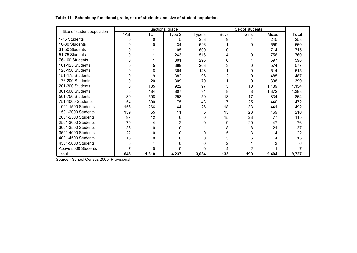| Size of student population |          | Functional grade |        |          |             | Sex of students |       |       |
|----------------------------|----------|------------------|--------|----------|-------------|-----------------|-------|-------|
|                            | 1AB      | 1 <sub>C</sub>   | Type 2 | Type 3   | <b>Boys</b> | Girls           | Mixed | Total |
| 1-15 Students              | 0        | 0                | 5      | 253      | 9           | 4               | 245   | 258   |
| 16-30 Students             | 0        | 0                | 34     | 526      |             | 0               | 559   | 560   |
| 31-50 Students             | 0        |                  | 105    | 609      | 0           |                 | 714   | 715   |
| 51-75 Students             | 0        |                  | 243    | 516      | 4           | 0               | 756   | 760   |
| 76-100 Students            | 0        |                  | 301    | 296      | 0           |                 | 597   | 598   |
| 101-125 Students           | 0        | 5                | 369    | 203      | 3           | 0               | 574   | 577   |
| 126-150 Students           | 0        | 8                | 364    | 143      |             | 0               | 514   | 515   |
| 151-175 Students           | 0        | 9                | 382    | 96       | 2           | 0               | 485   | 487   |
| 176-200 Students           | 0        | 20               | 309    | 70       |             | 0               | 398   | 399   |
| 201-300 Students           | $\Omega$ | 135              | 922    | 97       | 5           | 10              | 1,139 | 1,154 |
| 301-500 Students           | 6        | 484              | 807    | 91       | 8           | 8               | 1,372 | 1,388 |
| 501-750 Students           | 39       | 508              | 258    | 59       | 13          | 17              | 834   | 864   |
| 751-1000 Students          | 54       | 300              | 75     | 43       | 7           | 25              | 440   | 472   |
| 1001-1500 Students         | 156      | 266              | 44     | 26       | 18          | 33              | 441   | 492   |
| 1501-2000 Students         | 139      | 55               | 11     | 5        | 13          | 28              | 169   | 210   |
| 2001-2500 Students         | 97       | 12               | 6      | 0        | 15          | 23              | 77    | 115   |
| 2501-3000 Students         | 70       | 4                | 2      | $\Omega$ | 9           | 20              | 47    | 76    |
| 3001-3500 Students         | 36       | 0                | 0      |          | 8           | 8               | 21    | 37    |
| 3501-4000 Students         | 22       | 0                | O      | $\Omega$ | 5           | 3               | 14    | 22    |
| 4001-4500 Students         | 15       | <sup>0</sup>     | 0      | $\Omega$ | 5           | 6               | 4     | 15    |
| 4501-5000 Students         | 5        |                  | 0      | $\Omega$ | 2           |                 | 3     | 6     |
| Above 5000 Students        | 7        |                  | 0      | $\Omega$ | 4           | 2               |       |       |
| Total                      | 646      | 1,810            | 4,237  | 3,034    | 133         | 190             | 9,404 | 9,727 |

#### **Table 11 - Schools by functional grade, sex of students and size of student population**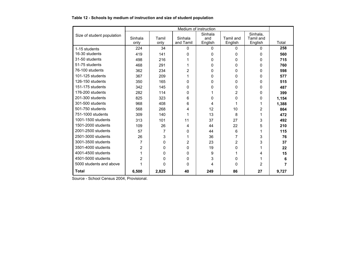#### **Table 12 - Schools by medium of instruction and size of student population**

|                                      |                 |               |                      | Medium of instruction |                             |                      |       |
|--------------------------------------|-----------------|---------------|----------------------|-----------------------|-----------------------------|----------------------|-------|
| Size of student population           |                 |               |                      | Sinhala               |                             | Sinhala,             |       |
|                                      | Sinhala<br>only | Tamil<br>only | Sinhala<br>and Tamil | and<br>English        | <b>Tamil and</b><br>English | Tamil and<br>English | Total |
| 1-15 students                        | 224             | 34            | 0                    | 0                     | $\Omega$                    | $\Omega$             | 258   |
| 16-30 students                       | 419             | 141           | 0                    | 0                     | $\Omega$                    | 0                    | 560   |
| 31-50 students                       | 498             | 216           |                      | 0                     | $\Omega$                    | 0                    | 715   |
| 51-75 students                       | 468             | 291           |                      | 0                     | $\Omega$                    | 0                    | 760   |
| 76-100 students                      | 362             | 234           | 2                    | 0                     | $\Omega$                    | 0                    | 598   |
| 101-125 students                     | 367             | 209           |                      | 0                     | $\Omega$                    | 0                    | 577   |
| 126-150 students                     | 350             | 165           | 0                    | 0                     | $\Omega$                    | 0                    | 515   |
| 151-175 students                     | 342             | 145           | 0                    | 0                     | 0                           | 0                    | 487   |
| 176-200 students                     | 282             | 114           |                      |                       | $\overline{2}$              |                      |       |
|                                      |                 |               | 0                    | 1                     |                             | 0                    | 399   |
| 201-300 students<br>301-500 students | 825             | 323           | 6                    | 0                     | $\Omega$                    | 0                    | 1,154 |
|                                      | 968             | 408           | 6                    | 4                     | 1                           |                      | 1,388 |
| 501-750 students                     | 568             | 268           | 4                    | 12                    | 10                          | 2                    | 864   |
| 751-1000 students                    | 309             | 140           |                      | 13                    | 8                           |                      | 472   |
| 1001-1500 students                   | 313             | 101           | 11                   | 37                    | 27                          | 3                    | 492   |
| 1501-2000 students                   | 109             | 26            | 4                    | 44                    | 22                          | 5                    | 210   |
| 2001-2500 students                   | 57              | 7             | 0                    | 44                    | 6                           |                      | 115   |
| 2501-3000 students                   | 26              | 3             |                      | 36                    | 7                           | 3                    | 76    |
| 3001-3500 students                   | 7               | 0             | 2                    | 23                    | $\overline{2}$              | 3                    | 37    |
| 3501-4000 students                   | 2               | 0             | 0                    | 19                    | 0                           |                      | 22    |
| 4001-4500 students                   | 1               | 0             | 0                    | 9                     |                             | 4                    | 15    |
| 4501-5000 students                   | $\overline{2}$  | 0             | 0                    | 3                     | $\Omega$                    |                      | 6     |
| 5000 students and above              |                 | 0             | 0                    | 4                     | $\Omega$                    | $\overline{2}$       | 7     |
| <b>Total</b>                         | 6,500           | 2,825         | 40                   | 249                   | 86                          | 27                   | 9,727 |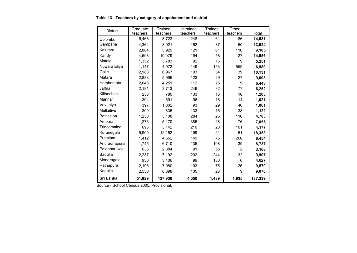#### **Table 13 - Teachers by category of appoinment and district**

| <b>District</b>   | Graduate | <b>Trained</b> | Untrained | Trainee  | Other          |         |
|-------------------|----------|----------------|-----------|----------|----------------|---------|
|                   | teachers | teachers       | teachers  | teachers | teachers       | Total   |
| Colombo           | 5.463    | 8,723          | 248       | 61       | 86             | 14,581  |
| Gampaha           | 4,364    | 8,921          | 152       | 37       | 50             | 13,524  |
| Kalutara          | 2,884    | 5,929          | 121       | 61       | 110            | 9,105   |
| Kandy             | 4.598    | 10,079         | 194       | 58       | 27             | 14,956  |
| Matale            | 1,352    | 3,783          | 92        | 15       | 9              | 5,251   |
| Nuwara Eliya      | 1,147    | 4,972          | 149       | 153      | 559            | 6,980   |
| Galle             | 2,988    | 6,967          | 103       | 34       | 39             | 10,131  |
| Matara            | 2,833    | 5,996          | 123       | 29       | 27             | 9,008   |
| Hambantota        | 2,046    | 4,251          | 112       | 25       | 9              | 6,443   |
| Jaffna            | 2,181    | 3,713          | 249       | 32       | 77             | 6,252   |
| Kilinochchi       | 258      | 780            | 133       | 16       | 16             | 1,203   |
| Mannar            | 304      | 591            | 96        | 16       | 14             | 1,021   |
| Vavuniya          | 397      | 1,302          | 93        | 29       | 40             | 1,861   |
| Mullaitivu        | 300      | 635            | 133       | 16       | 38             | 1,122   |
| <b>Batticaloa</b> | 1,250    | 3,108          | 284       | 25       | 116            | 4,783   |
| Ampara            | 1,276    | 5,170          | 385       | 48       | 176            | 7,055   |
| Trincomalee       | 696      | 3,142          | 210       | 28       | 101            | 4,177   |
| Kurunegala        | 5,900    | 12,152         | 199       | 41       | 61             | 18,353  |
| Puttalam          | 1,412    | 4,552          | 149       | 75       | 266            | 6,454   |
| Anuradhapura      | 1,745    | 6,710          | 135       | 108      | 39             | 8,737   |
| Polonnaruwa       | 636      | 2,384          | 91        | 55       | $\overline{2}$ | 3,168   |
| <b>Badulla</b>    | 2,237    | 7,192          | 202       | 244      | 32             | 9,907   |
| Monaragala        | 936      | 3.406          | 99        | 180      | 6              | 4,627   |
| Ratnapura         | 2,196    | 7,080          | 193       | 75       | 26             | 9,570   |
| Kegalle           | 2,530    | 6,398          | 105       | 28       | 9              | 9,070   |
| Sri Lanka         | 51,929   | 127,936        | 4,050     | 1,489    | 1,935          | 187,339 |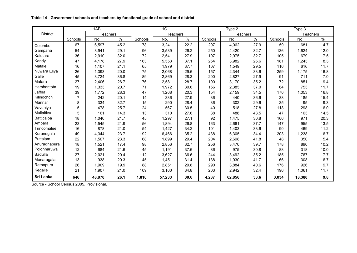|                 |                | 1AB             |      |         | 1 <sub>C</sub>  |      |         | Type 2          |      |         | Type 3          |      |
|-----------------|----------------|-----------------|------|---------|-----------------|------|---------|-----------------|------|---------|-----------------|------|
| <b>District</b> |                | <b>Teachers</b> |      |         | <b>Teachers</b> |      |         | <b>Teachers</b> |      |         | <b>Teachers</b> |      |
|                 | Schools        | No.             | $\%$ | Schools | No.             | $\%$ | Schools | No.             | $\%$ | Schools | No.             | $\%$ |
| Colombo         | 67             | 6,597           | 45.2 | 78      | 3,241           | 22.2 | 207     | 4,062           | 27.9 | 59      | 681             | 4.7  |
| Gampaha         | 54             | 3,941           | 29.1 | 96      | 3,539           | 26.2 | 250     | 4,420           | 32.7 | 136     | 1,624           | 12.0 |
| Kalutara        | 36             | 2,910           | 32.0 | 72      | 2,541           | 27.9 | 197     | 2,975           | 32.7 | 105     | 679             | 7.5  |
| Kandy           | 47             | 4,178           | 27.9 | 163     | 5,553           | 37.1 | 254     | 3,982           | 26.6 | 181     | 1,243           | 8.3  |
| Matale          | 16             | 1,107           | 21.1 | 65      | 1,979           | 37.7 | 107     | 1,549           | 29.5 | 116     | 616             | 11.7 |
| Nuwara Eliya    | 26             | 1,393           | 20.0 | 75      | 2,068           | 29.6 | 157     | 2,344           | 33.6 | 259     | 1,175           | 16.8 |
| Galle           | 45             | 3,724           | 36.8 | 89      | 2,869           | 28.3 | 200     | 2,827           | 27.9 | 91      | 711             | 7.0  |
| Matara          | 27             | 2,406           | 26.7 | 76      | 2,581           | 28.7 | 190     | 3,170           | 35.2 | 72      | 851             | 9.4  |
| Hambantota      | 19             | 1,333           | 20.7 | 71      | 1,972           | 30.6 | 156     | 2,385           | 37.0 | 64      | 753             | 11.7 |
| Jaffna          | 39             | 1,772           | 28.3 | 47      | 1,268           | 20.3 | 154     | 2,159           | 34.5 | 170     | 1,053           | 16.8 |
| Kilinochchi     | $\overline{7}$ | 242             | 20.1 | 14      | 336             | 27.9 | 36      | 440             | 36.6 | 38      | 185             | 15.4 |
| Mannar          | 8              | 334             | 32.7 | 15      | 290             | 28.4 | 36      | 302             | 29.6 | 35      | 95              | 9.3  |
| Vavuniya        | 5              | 478             | 25.7 | 24      | 567             | 30.5 | 40      | 518             | 27.8 | 118     | 298             | 16.0 |
| Mullaitivu      | 5              | 161             | 14.3 | 13      | 310             | 27.6 | 38      | 488             | 43.5 | 47      | 163             | 14.5 |
| Batticaloa      | 18             | 1,040           | 21.7 | 45      | 1,297           | 27.1 | 92      | 1,475           | 30.8 | 166     | 971             | 20.3 |
| Ampara          | 23             | 1,545           | 21.9 | 56      | 1,894           | 26.8 | 163     | 2,661           | 37.7 | 147     | 955             | 13.5 |
| Trincomalee     | 16             | 878             | 21.0 | 54      | 1,427           | 34.2 | 101     | 1,403           | 33.6 | 90      | 469             | 11.2 |
| Kurunegala      | 49             | 4,344           | 23.7 | 192     | 6,466           | 35.2 | 438     | 6,305           | 34.4 | 203     | 1,238           | 6.7  |
| Puttalam        | 22             | 1,507           | 23.3 | 68      | 1,899           | 29.4 | 204     | 2,698           | 41.8 | 48      | 350             | 5.4  |
| Anuradhapura    | 18             | 1,521           | 17.4 | 98      | 2,856           | 32.7 | 256     | 3,470           | 39.7 | 178     | 890             | 10.2 |
| Polonnaruwa     | 12             | 684             | 21.6 | 45      | 1,191           | 37.6 | 86      | 975             | 30.8 | 88      | 318             | 10.0 |
| <b>Badulla</b>  | 27             | 2,021           | 20.4 | 112     | 3,627           | 36.6 | 244     | 3,492           | 35.2 | 185     | 767             | 7.7  |
| Monaragala      | 13             | 938             | 20.3 | 45      | 1,451           | 31.4 | 138     | 1,930           | 41.7 | 66      | 308             | 6.7  |
| Ratnapura       | 26             | 1,909           | 19.9 | 88      | 2,851           | 29.8 | 290     | 3,884           | 40.6 | 176     | 926             | 9.7  |
| Kegalle         | 21             | 1,907           | 21.0 | 109     | 3,160           | 34.8 | 203     | 2,942           | 32.4 | 196     | 1,061           | 11.7 |
| Sri Lanka       | 646            | 48,870          | 26.1 | 1,810   | 57,233          | 30.6 | 4,237   | 62,856          | 33.6 | 3,034   | 18,380          | 9.8  |

**Table 14 - Government schools and teachers by functional grade of school and district**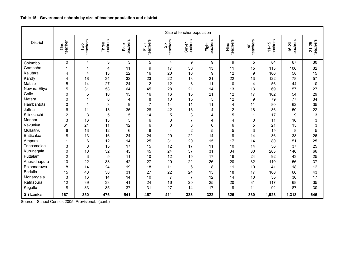|                 |                      |                 |                   |                  |                  |                | Size of teacher population |                   |                         |                 |                       |                       |                       |
|-----------------|----------------------|-----------------|-------------------|------------------|------------------|----------------|----------------------------|-------------------|-------------------------|-----------------|-----------------------|-----------------------|-----------------------|
| <b>District</b> | teacher<br>de<br>Ore | teachers<br>Two | teachers<br>Three | teachers<br>Four | teachers<br>Five | teachers<br>šš | teachers<br>Seven          | Eight<br>teachers | teachers<br>Nine        | teachers<br>Ten | teachers<br>$11 - 15$ | teachers<br>$16 - 20$ | teachers<br>$21 - 25$ |
| Colombo         | $\Omega$             | $\overline{4}$  | 3                 | 3                | 5                | 4              | 9                          | 9                 | 9                       | 5               | 84                    | 67                    | 30                    |
| Gampaha         | 1                    | $\overline{1}$  | 4                 | 11               | 9                | 17             | 30                         | 13                | 11                      | 15              | 113                   | 100                   | 32                    |
| Kalutara        | 4                    | 4               | 13                | 22               | 16               | 20             | 16                         | 9                 | 12                      | 9               | 106                   | 58                    | 15                    |
| Kandy           | 4                    | 18              | 34                | 32               | 23               | 22             | 18                         | 21                | 22                      | 13              | 122                   | 78                    | 57                    |
| Matale          | 5                    | 14              | 27                | 24               | 12               | 12             | 8                          | 11                | 10                      | 4               | 56                    | 44                    | 10                    |
| Nuwara Eliya    | 5                    | 31              | 58                | 64               | 45               | 28             | 21                         | 14                | 13                      | 13              | 69                    | 57                    | 27                    |
| Galle           | $\Omega$             | 5               | 10                | 13               | 16               | 16             | 15                         | 21                | 12                      | 17              | 102                   | 54                    | 29                    |
| Matara          | 0                    | $\mathbf 1$     | 8                 | 4                | 8                | 10             | 15                         | 5                 | 12                      | 9               | 79                    | 77                    | 34                    |
| Hambantota      | $\mathbf 0$          | $\overline{1}$  | 3                 | 9                | $\overline{7}$   | 14             | 11                         | 11                | $\overline{\mathbf{4}}$ | 11              | 80                    | 62                    | 35                    |
| Jaffna          | 6                    | 11              | 13                | 36               | 28               | 42             | 16                         | 4                 | 12                      | 18              | 86                    | 50                    | 22                    |
| Kilinochchi     | $\overline{2}$       | 3               | 5                 | 5                | 14               | 5              | 8                          | 4                 | 5                       | 1               | 17                    | 9                     | 3                     |
| Mannar          | 3                    | 16              | 13                | 5                | 6                | 3              | $\overline{7}$             | 4                 | 4                       | 0               | 11                    | 10                    | 3                     |
| Vavuniya        | 61                   | 21              | 11                | 12               | 6                | 3              | 8                          | 0                 | 6                       | 5               | 21                    | 15                    | 3                     |
| Mullaitivu      | 6                    | 13              | 12                | 6                | 6                | 4              | $\overline{2}$             | 5                 | 5                       | 3               | 15                    | 8                     | 5                     |
| Batticaloa      | 8                    | 13              | 16                | 24               | 24               | 29             | 22                         | 14                | 9                       | 14              | 36                    | 33                    | 26                    |
| Ampara          | 1                    | $\,6$           | 12                | 14               | 25               | 31             | 20                         | 15                | 17                      | 14              | 80                    | 51                    | 25                    |
| Trincomalee     | 3                    | 8               | 15                | 17               | 15               | 12             | 17                         | 11                | 10                      | 14              | 36                    | 37                    | 25                    |
| Kurunegala      | $\mathbf 0$          | 10              | 32                | 45               | 45               | 24             | 37                         | 31                | 34                      | 30              | 203                   | 140                   | 66                    |
| Puttalam        | $\overline{2}$       | 3               | 5                 | 11               | 10               | 12             | 15                         | 17                | 16                      | 24              | 92                    | 43                    | 25                    |
| Anuradhapura    | 10                   | 22              | 38                | 42               | 27               | 20             | 22                         | 26                | 20                      | 32              | 110                   | 56                    | 37                    |
| Polonnaruwa     | 8                    | 14              | 24                | 19               | 18               | 11             | 6                          | 8                 | 11                      | 10              | 41                    | 18                    | 12                    |
| Badulla         | 15                   | 43              | 38                | 31               | 27               | 22             | 24                         | 15                | 18                      | 17              | 100                   | 66                    | 43                    |
| Monaragala      | 3                    | 16              | 14                | 14               | 10               | $\overline{7}$ | $\overline{7}$             | 12                | 14                      | 10              | 55                    | 30                    | 17                    |
| Ratnapura       | 12                   | 39              | 33                | 41               | 24               | 16             | 20                         | 25                | 20                      | 31              | 117                   | 68                    | 35                    |
| Kegalle         | 8                    | 33              | 35                | 37               | 31               | 27             | 14                         | 17                | 19                      | 11              | 92                    | 87                    | 30                    |
| Sri Lanka       | 167                  | 350             | 476               | 541              | 457              | 411            | 388                        | 322               | 325                     | 330             | 1,923                 | 1,318                 | 646                   |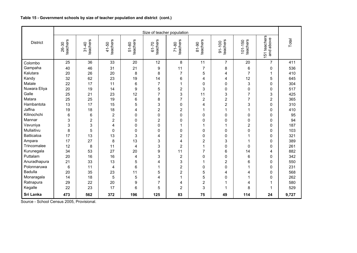#### **Table 15 - Government schools by size of teacher population and district (cont.)**

|                   |                   |                       |                   |                   | Size of teacher population |                       |                   |                         |                         |                           |       |
|-------------------|-------------------|-----------------------|-------------------|-------------------|----------------------------|-----------------------|-------------------|-------------------------|-------------------------|---------------------------|-------|
| <b>District</b>   | teachers<br>26-30 | teachers<br>$31 - 40$ | teachers<br>41-50 | teachers<br>51-60 | teachers<br>61-70          | teachers<br>$71 - 80$ | teachers<br>81-90 | teachers<br>91-100      | $101 - 150$<br>teachers | 151 teachers<br>and above | Total |
| Colombo           | 25                | 36                    | 33                | 20                | 12                         | 8                     | 11                | $\overline{7}$          | 20                      | $\overline{7}$            | 411   |
| Gampaha           | 40                | 46                    | 31                | 21                | 9                          | 11                    | $\overline{7}$    | 8                       | 6                       | $\mathbf 0$               | 536   |
| Kalutara          | 20                | 26                    | 20                | 8                 | 8                          | $\overline{7}$        | 5                 | 4                       | $\overline{7}$          | 1                         | 410   |
| Kandy             | 32                | 62                    | 23                | 19                | 14                         | 6                     | 4                 | 4                       | 12                      | 5                         | 645   |
| Matale            | 22                | 17                    | 11                | $6\phantom{1}$    | $\overline{7}$             | $\mathbf 1$           | $\mathbf{0}$      | $\Omega$                | 3                       | $\mathbf{0}$              | 304   |
| Nuwara Eliya      | 20                | 19                    | 14                | 9                 | 5                          | $\overline{2}$        | 3                 | 0                       | 0                       | 0                         | 517   |
| Galle             | 25                | 21                    | 23                | 12                | 7                          | 3                     | 11                | 3                       | $\overline{7}$          | 3                         | 425   |
| Matara            | 25                | 25                    | 19                | $\,6$             | 8                          | $\overline{7}$        | $\overline{c}$    | $\boldsymbol{2}$        | $\overline{7}$          | $\mathbf 2$               | 365   |
| Hambantota        | 13                | 17                    | 15                | 5                 | 3                          | $\Omega$              | 4                 | $\overline{2}$          | 3                       | $\mathbf{0}$              | 310   |
| Jaffna            | 19                | 18                    | 18                | 4                 | $\overline{2}$             | $\overline{2}$        | 1                 | 1                       | 1                       | 0                         | 410   |
| Kilinochchi       | 6                 | 6                     | $\overline{2}$    | 0                 | 0                          | 0                     | 0                 | 0                       | 0                       | 0                         | 95    |
| Mannar            | 3                 | $\overline{2}$        | $\mathbf 2$       | $\pmb{0}$         | $\overline{2}$             | 0                     | 0                 | 0                       | 0                       | 0                         | 94    |
| Vavuniya          | 3                 | 3                     | 4                 | 0                 | 0                          | 1                     | 1                 | 1                       | 2                       | $\mathbf{0}$              | 187   |
| Mullaitivu        | 8                 | 5                     | 0                 | 0                 | $\mathbf 0$                | 0                     | 0                 | 0                       | 0                       | $\mathbf{0}$              | 103   |
| <b>Batticaloa</b> | 17                | 13                    | 13                | 3                 | 4                          | $\overline{2}$        | 0                 | 0                       | 1                       | $\mathbf 0$               | 321   |
| Ampara            | 17                | 27                    | 8                 | 13                | 3                          | 4                     | $\overline{2}$    | 3                       | 1                       | $\mathbf 0$               | 389   |
| Trincomalee       | 12                | 8                     | 11                | $\overline{4}$    | 3                          | $\overline{2}$        | 1                 | $\Omega$                | $\Omega$                | $\mathbf{0}$              | 261   |
| Kurunegala        | 34                | 53                    | 27                | 20                | 9                          | 11                    | $\overline{7}$    | 6                       | 14                      | 4                         | 882   |
| Puttalam          | 20                | 16                    | 16                | 4                 | 3                          | $\overline{2}$        | $\Omega$          | 0                       | 6                       | $\mathbf 0$               | 342   |
| Anuradhapura      | 21                | 33                    | 13                | 5                 | 4                          | 3                     | 1                 | $\overline{2}$          | 6                       | 0                         | 550   |
| Polonnaruwa       | 6                 | 11                    | 4                 | 6                 | 1                          | $\overline{2}$        | $\mathbf{0}$      | 0                       |                         | $\Omega$                  | 231   |
| <b>Badulla</b>    | 20                | 35                    | 23                | 11                | 5                          | $\overline{2}$        | 5                 | 4                       | 4                       | $\mathbf 0$               | 568   |
| Monaragala        | 14                | 18                    | 5                 | 5                 | 4                          | $\mathbf{1}$          | 5                 | 0                       | 1                       | $\Omega$                  | 262   |
| Ratnapura         | 29                | 22                    | 20                | $\boldsymbol{9}$  | $\overline{7}$             | 4                     | $\overline{2}$    | 1                       | 4                       | -1                        | 580   |
| Kegalle           | 22                | 23                    | 17                | 6                 | 5                          | $\overline{2}$        | 3                 | $\overline{\mathbf{1}}$ | 8                       | 1                         | 529   |
| Sri Lanka         | 473               | 562                   | 372               | 196               | 125                        | 83                    | 75                | 49                      | 114                     | 24                        | 9,727 |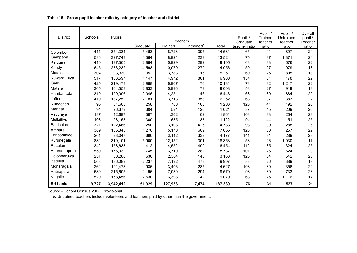| <b>District</b> | Schools | Pupils    |          | <b>Teachers</b> |                        |         | Pupil /<br>Graduate | Pupil /<br>Trained<br>teacher | Pupil /<br>Untrained<br>teacher | Overall<br>pupil /<br>Teacher |
|-----------------|---------|-----------|----------|-----------------|------------------------|---------|---------------------|-------------------------------|---------------------------------|-------------------------------|
|                 |         |           | Graduate | Trained         | Untrained <sup>a</sup> | Total   | teacher ratio       | ratio                         | ratio                           | ratio                         |
| Colombo         | 411     | 354,334   | 5,463    | 8,723           | 395                    | 14,581  | 65                  | 41                            | 897                             | 24                            |
| Gampaha         | 536     | 327,743   | 4,364    | 8,921           | 239                    | 13,524  | 75                  | 37                            | 1,371                           | 24                            |
| Kalutara        | 410     | 197,365   | 2,884    | 5,929           | 292                    | 9,105   | 68                  | 33                            | 676                             | 22                            |
| Kandy           | 645     | 273,232   | 4,598    | 10,079          | 279                    | 14,956  | 59                  | 27                            | 979                             | 18                            |
| Matale          | 304     | 93,330    | 1,352    | 3,783           | 116                    | 5,251   | 69                  | 25                            | 805                             | 18                            |
| Nuwara Eliya    | 517     | 153,597   | 1,147    | 4,972           | 861                    | 6,980   | 134                 | 31                            | 178                             | 22                            |
| Galle           | 425     | 219,473   | 2,988    | 6,967           | 176                    | 10,131  | 73                  | 32                            | 1,247                           | 22                            |
| Matara          | 365     | 164,558   | 2,833    | 5,996           | 179                    | 9,008   | 58                  | 27                            | 919                             | 18                            |
| Hambantota      | 310     | 129,096   | 2,046    | 4,251           | 146                    | 6,443   | 63                  | 30                            | 884                             | 20                            |
| Jaffna          | 410     | 137,252   | 2,181    | 3,713           | 358                    | 6,252   | 63                  | 37                            | 383                             | 22                            |
| Kilinochchi     | 95      | 31,665    | 258      | 780             | 165                    | 1,203   | 123                 | 41                            | 192                             | 26                            |
| Mannar          | 94      | 26,379    | 304      | 591             | 126                    | 1,021   | 87                  | 45                            | 209                             | 26                            |
| Vavuniya        | 187     | 42,697    | 397      | 1,302           | 162                    | 1,861   | 108                 | 33                            | 264                             | 23                            |
| Mullaitivu      | 103     | 28,153    | 300      | 635             | 187                    | 1,122   | 94                  | 44                            | 151                             | 25                            |
| Batticaloa      | 321     | 122,466   | 1,250    | 3,108           | 425                    | 4,783   | 98                  | 39                            | 288                             | 26                            |
| Ampara          | 389     | 156,343   | 1,276    | 5,170           | 609                    | 7,055   | 123                 | 30                            | 257                             | 22                            |
| Trincomalee     | 261     | 98,047    | 696      | 3,142           | 339                    | 4,177   | 141                 | 31                            | 289                             | 23                            |
| Kurunegala      | 882     | 310,101   | 5,900    | 12,152          | 301                    | 18,353  | 53                  | 26                            | 1,030                           | 17                            |
| Puttalam        | 342     | 158,633   | 1,412    | 4,552           | 490                    | 6,454   | 112                 | 35                            | 324                             | 25                            |
| Anuradhapura    | 550     | 176,032   | 1,745    | 6,710           | 282                    | 8,737   | 101                 | 26                            | 624                             | 20                            |
| Polonnaruwa     | 231     | 80,288    | 636      | 2,384           | 148                    | 3,168   | 126                 | 34                            | 542                             | 25                            |
| <b>Badulla</b>  | 568     | 186.089   | 2,237    | 7,192           | 478                    | 9,907   | 83                  | 26                            | 389                             | 19                            |
| Monaragala      | 262     | 101,478   | 936      | 3,406           | 285                    | 4,627   | 108                 | 30                            | 356                             | 22                            |
| Ratnapura       | 580     | 215,605   | 2,196    | 7,080           | 294                    | 9,570   | 98                  | 30                            | 733                             | 23                            |
| Kegalle         | 529     | 158,456   | 2,530    | 6,398           | 142                    | 9,070   | 63                  | 25                            | 1,116                           | 17                            |
| Sri Lanka       | 9,727   | 3,942,412 | 51,929   | 127,936         | 7,474                  | 187,339 | 76                  | 31                            | 527                             | 21                            |

a. Untrained teachers include volunteers and teachers paid by other than the government.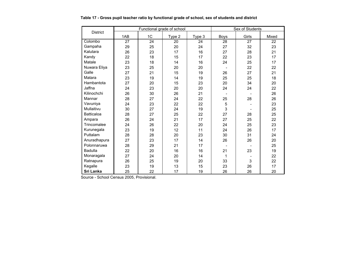|                   |                 | Functional grade of school |        |        |                | Sex of Students |       |
|-------------------|-----------------|----------------------------|--------|--------|----------------|-----------------|-------|
| <b>District</b>   | 1AB             | 1C                         | Type 2 | Type 3 | <b>Boys</b>    | Girls           | Mixed |
| Colombo           | $\overline{27}$ | $\overline{24}$            | 20     | 24     | 28             | $\overline{27}$ | 22    |
| Gampaha           | 29              | 25                         | 20     | 24     | 27             | 32              | 23    |
| Kalutara          | 26              | 23                         | 17     | 16     | 27             | 28              | 21    |
| Kandy             | 22              | 18                         | 15     | 17     | 22             | 23              | 17    |
| Matale            | 23              | 18                         | 14     | 16     | 24             | 25              | 17    |
| Nuwara Eliya      | 23              | 25                         | 20     | 20     |                | 22              | 22    |
| Galle             | 27              | 21                         | 15     | 19     | 26             | 27              | 21    |
| Matara            | 23              | 19                         | 14     | 19     | 25             | 25              | 18    |
| Hambantota        | 27              | 20                         | 15     | 23     | 20             | 34              | 20    |
| Jaffna            | 24              | 23                         | 20     | 20     | 24             | 24              | 22    |
| Kilinochchi       | 26              | 30                         | 26     | 21     |                |                 | 26    |
| Mannar            | 28              | 27                         | 24     | 22     | 25             | 28              | 26    |
| Vavuniya          | 24              | 23                         | 22     | 22     | 5              |                 | 23    |
| Mullaitivu        | 30              | 27                         | 24     | 19     | 3              |                 | 25    |
| <b>Batticaloa</b> | 28              | 27                         | 25     | 22     | 27             | 28              | 25    |
| Ampara            | 26              | 24                         | 21     | 17     | 27             | 25              | 22    |
| Trincomalee       | 24              | 26                         | 22     | 20     | 24             | 25              | 23    |
| Kurunegala        | 23              | 19                         | 12     | 11     | 24             | 26              | 17    |
| Puttalam          | 28              | 28                         | 20     | 23     | 30             | 31              | 24    |
| Anuradhapura      | 27              | 23                         | 17     | 14     | 26             | 26              | 20    |
| Polonnaruwa       | 28              | 29                         | 21     | 17     | $\blacksquare$ |                 | 25    |
| <b>Badulla</b>    | 22              | 20                         | 16     | 16     | 21             | 23              | 19    |
| Monaragala        | 27              | 24                         | 20     | 14     | 1              |                 | 22    |
| Ratnapura         | 26              | 25                         | 19     | 20     | 33             | 3               | 22    |
| Kegalle           | 23              | 19                         | 13     | 15     | 23             | 26              | 17    |
| Sri Lanka         | 25              | 22                         | 17     | 19     | 26             | 26              | 20    |

#### **Table 17 - Gross pupil teacher ratio by functional grade of school, sex of students and district**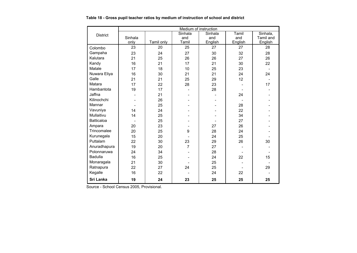|                   | Medium of instruction<br>Sinhala<br>Sinhala<br>Tamil |            |                |         |         |                |  |  |
|-------------------|------------------------------------------------------|------------|----------------|---------|---------|----------------|--|--|
| <b>District</b>   |                                                      |            |                |         |         | Sinhala,       |  |  |
|                   | Sinhala                                              |            | and            | and     | and     | Tamil and      |  |  |
|                   | only                                                 | Tamil only | Tamil          | English | English | English        |  |  |
| Colombo           | 23                                                   | 20         | 25             | 27      | 27      | 28             |  |  |
| Gampaha           | 23                                                   | 24         | 27             | 30      | 32      | 28             |  |  |
| Kalutara          | 21                                                   | 25         | 26             | 26      | 27      | 26             |  |  |
| Kandy             | 16                                                   | 21         | 17             | 21      | 30      | 22             |  |  |
| Matale            | 17                                                   | 18         | 10             | 25      | 23      | $\blacksquare$ |  |  |
| Nuwara Eliya      | 16                                                   | 30         | 21             | 21      | 24      | 24             |  |  |
| Galle             | 21                                                   | 21         | 25             | 29      | 12      |                |  |  |
| Matara            | 17                                                   | 22         | 28             | 23      |         | 17             |  |  |
| Hambantota        | 19                                                   | 17         |                | 28      |         |                |  |  |
| Jaffna            |                                                      | 21         |                |         | 24      |                |  |  |
| Kilinochchi       |                                                      | 26         |                |         |         |                |  |  |
| Mannar            |                                                      | 25         |                |         | 28      |                |  |  |
| Vavuniya          | 14                                                   | 24         |                |         | 22      |                |  |  |
| Mullaitivu        | 14                                                   | 25         |                |         | 34      |                |  |  |
| <b>Batticaloa</b> |                                                      | 25         |                |         | 27      |                |  |  |
| Ampara            | 20                                                   | 23         |                | 27      | 26      |                |  |  |
| Trincomalee       | 20                                                   | 25         | 9              | 28      | 24      |                |  |  |
| Kurunegala        | 15                                                   | 20         |                | 24      | 25      |                |  |  |
| Puttalam          | 22                                                   | 30         | 23             | 29      | 26      | 30             |  |  |
| Anuradhapura      | 19                                                   | 20         | $\overline{7}$ | 27      |         |                |  |  |
| Polonnaruwa       | 24                                                   | 34         |                | 28      |         |                |  |  |
| <b>Badulla</b>    | 16                                                   | 25         |                | 24      | 22      | 15             |  |  |
| Monaragala        | 21                                                   | 30         |                | 25      |         |                |  |  |
| Ratnapura         | 22                                                   | 27         | 24             | 25      |         | 29             |  |  |
| Kegalle           | 16                                                   | 22         |                | 24      | 22      |                |  |  |
| Sri Lanka         | 19                                                   | 24         | 23             | 25      | 25      | 25             |  |  |

#### **Table 18 - Gross pupil teacher ratios by medium of instruction of school and district**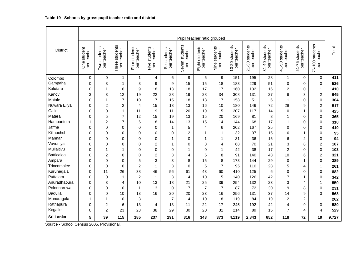|                   |                               |                                |                                   |                              |                                 |                                |                                  | Pupil teacher ratio grouped      |                                 |                                      |                                      |                               |                               |                                      |                                |       |
|-------------------|-------------------------------|--------------------------------|-----------------------------------|------------------------------|---------------------------------|--------------------------------|----------------------------------|----------------------------------|---------------------------------|--------------------------------------|--------------------------------------|-------------------------------|-------------------------------|--------------------------------------|--------------------------------|-------|
| <b>District</b>   | student<br>per teacher<br>Öne | students<br>per teacher<br>Two | students<br>per teacher<br>Three: | Four students<br>per teacher | students<br>per teacher<br>Five | students<br>per teacher<br>šix | students<br>per teacher<br>Seven | students<br>per teacher<br>Eight | students<br>per teacher<br>Nine | students<br>per teacher<br>$10 - 20$ | students<br>per teacher<br>$21 - 30$ | 31-40 students<br>per teacher | 41-50 students<br>per teacher | students<br>per teacher<br>$51 - 75$ | 76-100 students<br>per teacher | Total |
| Colombo           | $\mathbf 0$                   | $\mathbf 0$                    | $\mathbf{1}$                      | $\mathbf 1$                  | 4                               | 6                              | 9                                | 6                                | 9                               | 151                                  | 195                                  | 28                            | $\mathbf{1}$                  | $\mathbf 0$                          | $\mathbf 0$                    | 411   |
| Gampaha           | 0                             | 3                              | $\mathbf{1}$                      | 3                            | 9                               | $\boldsymbol{9}$               | 15                               | 15                               | 18                              | 183                                  | 229                                  | 51                            | 0                             | 0                                    | $\mathbf 0$                    | 536   |
| Kalutara          | 0                             | 1                              | 6                                 | 9                            | 18                              | 13                             | 18                               | 17                               | 17                              | 160                                  | 132                                  | 16                            | $\overline{2}$                | 0                                    | $\mathbf{1}$                   | 410   |
| Kandy             | 3                             | 3                              | 12                                | 19                           | 22                              | 28                             | 19                               | 28                               | 34                              | 308                                  | 131                                  | 27                            | 6                             | 3                                    | $\overline{2}$                 | 645   |
| Matale            | 0                             | $\mathbf{1}$                   | $\overline{7}$                    | 10                           | $\overline{7}$                  | 15                             | 18                               | 13                               | 17                              | 158                                  | 51                                   | 6                             | $\mathbf{1}$                  | $\overline{0}$                       | $\mathbf 0$                    | 304   |
| Nuwara Eliya      | 0                             | $\overline{c}$                 | $\overline{c}$                    | $\overline{4}$               | 15                              | 18                             | 13                               | 16                               | 10                              | 180                                  | 146                                  | 72                            | 28                            | 9                                    | $\overline{c}$                 | 517   |
| Galle             | 0                             | 0                              | $\mathbf 1$                       | 11                           | 9                               | 11                             | 20                               | 19                               | 15                              | 207                                  | 117                                  | 14                            | 0                             | 1                                    | $\mathbf 0$                    | 425   |
| Matara            | 0                             | 5                              | $\overline{7}$                    | 12                           | 15                              | 19                             | 13                               | 15                               | 20                              | 169                                  | 81                                   | 8                             | $\mathbf{1}$                  | 0                                    | $\pmb{0}$                      | 365   |
| Hambantota        | 1                             | 2                              | $\overline{7}$                    | 6                            | 8                               | 14                             | 13                               | 15                               | 14                              | 144                                  | 68                                   | 17                            | 1                             | $\Omega$                             | $\mathbf 0$                    | 310   |
| Jaffna            | 0                             | 0                              | $\Omega$                          | 0                            | 0                               | $\mathbf{1}$                   | 5                                | 4                                | 6                               | 202                                  | 167                                  | 25                            | $\Omega$                      | $\overline{0}$                       | $\mathbf 0$                    | 410   |
| Kilinochchi       | 0                             | 0                              | $\mathbf 0$                       | 0                            | 0                               | 0                              | 2                                | 1                                | 1                               | 32                                   | 37                                   | 15                            | 6                             | 1                                    | $\mathbf 0$                    | 95    |
| Mannar            | 0                             | 0                              | $\mathbf 0$                       | 0                            | 0                               | $\mathbf 1$                    | 0                                | 1                                | 1                               | 31                                   | 36                                   | 16                            | 6                             | $\overline{c}$                       | $\mathbf 0$                    | 94    |
| Vavuniya          | 0                             | 0                              | $\mathbf 0$                       | 0                            | $\overline{2}$                  | $\mathbf{1}$                   | 0                                | 8                                | 4                               | 68                                   | 70                                   | 21                            | 3                             | 8                                    | $\overline{c}$                 | 187   |
| Mullaitivu        | 0                             | 1                              | $\mathbf{1}$                      | 0                            | 0                               | $\boldsymbol{0}$               | $\mathbf{1}$                     | 0                                | $\mathbf{1}$                    | 42                                   | 38                                   | 17                            | $\overline{c}$                | 0                                    | $\mathbf 0$                    | 103   |
| <b>Batticaloa</b> | 0                             | $\overline{2}$                 | $\Omega$                          | 0                            | $\overline{2}$                  | 3                              | 4                                | 5                                | 8                               | 91                                   | 140                                  | 48                            | 10                            | 6                                    | $\overline{c}$                 | 321   |
| Ampara            | 0                             | 0                              | $\Omega$                          | 5                            | 3                               | 3                              | 8                                | 15                               | 8                               | 173                                  | 144                                  | 29                            | $\mathbf 0$                   | 1                                    | $\mathbf 0$                    | 389   |
| Trincomalee       | 0                             | 0                              | $\Omega$                          | $\overline{c}$               | $\mathbf{1}$                    | 3                              | 0                                | 5                                | $\overline{7}$                  | 95                                   | 110                                  | 28                            | 5                             | 4                                    | $\mathbf{1}$                   | 261   |
| Kurunegala        | 0                             | 11                             | 26                                | 38                           | 46                              | 56                             | 61                               | 43                               | 60                              | 410                                  | 125                                  | 6                             | 0                             | 0                                    | 0                              | 882   |
| Puttalam          | 0                             | $\Omega$                       | $\mathbf{1}$                      | $\overline{2}$               | 1                               | 3                              | 4                                | 10                               | 5                               | 140                                  | 126                                  | 42                            | $\overline{7}$                | 1                                    | $\mathbf 0$                    | 342   |
| Anuradhapura      | 0                             | 3                              | 4                                 | 10                           | 13                              | 18                             | 21                               | 25                               | 39                              | 254                                  | 132                                  | 23                            | 3                             | 4                                    | $\mathbf{1}$                   | 550   |
| Polonnaruwa       | 0                             | 0                              | $\Omega$                          | $\mathbf{1}$                 | 3                               | $\mathbf 0$                    | 7                                | $\overline{7}$                   | $\overline{7}$                  | 87                                   | 72                                   | 30                            | 9                             | 8                                    | $\mathbf 0$                    | 231   |
| <b>Badulla</b>    | $\Omega$                      | 0                              | 10                                | 13                           | 16                              | 20                             | 20                               | 23                               | 16                              | 256                                  | 131                                  | 37                            | 14                            | 9                                    | 3                              | 568   |
| Monaragala        | 1                             | 1                              | 0                                 | 3                            | 1                               | $\overline{7}$                 | 4                                | 10                               | 8                               | 119                                  | 84                                   | 19                            | $\overline{2}$                | 2                                    | $\mathbf{1}$                   | 262   |
| Ratnapura         | 0                             | $\overline{c}$                 | 6                                 | 13                           | 4                               | 13                             | 11                               | 22                               | 17                              | 245                                  | 192                                  | 42                            | 4                             | 9                                    | $\Omega$                       | 580   |
| Kegalle           | 0                             | $\overline{c}$                 | 23                                | 23                           | 38                              | 29                             | 30                               | 20                               | 31                              | 214                                  | 89                                   | 15                            | $\overline{7}$                | 4                                    | 4                              | 529   |
| Sri Lanka         | 5                             | 39                             | 115                               | 185                          | 237                             | 291                            | 316                              | 343                              | 373                             | 4,119                                | 2,843                                | 652                           | 118                           | 72                                   | 19                             | 9,727 |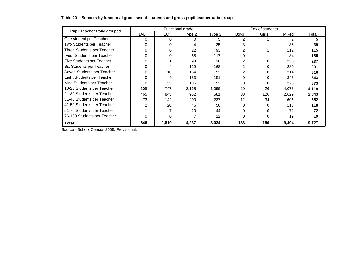| Pupil Teacher Ratio grouped |          |          | Functional grade |        |      | Sex of students |       |       |
|-----------------------------|----------|----------|------------------|--------|------|-----------------|-------|-------|
|                             | 1AB      | 1C       | Type 2           | Type 3 | Boys | Girls           | Mixed | Total |
| One student per Teacher     | $\Omega$ | $\Omega$ | 0                | 5      | 2    |                 | 2     | 5     |
| Two Students per Teacher    | 0        | $\Omega$ | 4                | 35     |      |                 | 35    | 39    |
| Three Students per Teacher  |          | $\Omega$ | 22               | 93     |      |                 | 112   | 115   |
| Four Students per Teacher   |          | $\Omega$ | 68               | 117    |      |                 | 184   | 185   |
| Five Students per Teacher   |          |          | 98               | 138    |      | $\Omega$        | 235   | 237   |
| Six Students per Teacher    |          | 4        | 119              | 168    |      | 0               | 289   | 291   |
| Seven Students per Teacher  |          | 10       | 154              | 152    |      | 0               | 314   | 316   |
| Eight Students per Teacher  |          | 9        | 183              | 151    |      | 0               | 343   | 343   |
| Nine Students per Teacher   |          | 25       | 196              | 152    |      | $\Omega$        | 373   | 373   |
| 10-20 Students per Teacher  | 105      | 747      | 2,168            | 1,099  | 20   | 26              | 4,073 | 4,119 |
| 21-30 Students per Teacher  | 465      | 845      | 952              | 581    | 88   | 126             | 2,629 | 2,843 |
| 31-40 Students per Teacher  | 73       | 142      | 200              | 237    | 12   | 34              | 606   | 652   |
| 41-50 Students per Teacher  |          | 20       | 46               | 50     |      | 0               | 118   | 118   |
| 51-75 Students per Teacher  |          |          | 20               | 44     |      | 0               | 72    | 72    |
| 76-100 Students per Teacher |          | $\Omega$ |                  | 12     | U    | $\Omega$        | 19    | 19    |
| <b>Total</b>                | 646      | 1,810    | 4,237            | 3,034  | 133  | 190             | 9,404 | 9,727 |

#### **Table 20 - Schools by functional grade sex of students and gross pupil teacher ratio group**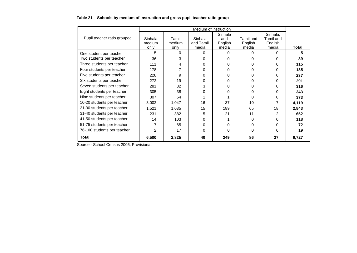|  | Table 21 - Schools by medium of instruction and gross pupil teacher ratio group |  |  |
|--|---------------------------------------------------------------------------------|--|--|
|--|---------------------------------------------------------------------------------|--|--|

|                             |                           |                         | Medium of instruction         |                                    |                               |                                           |       |
|-----------------------------|---------------------------|-------------------------|-------------------------------|------------------------------------|-------------------------------|-------------------------------------------|-------|
| Pupil teacher ratio grouped | Sinhala<br>medium<br>only | Tamil<br>medium<br>only | Sinhala<br>and Tamil<br>media | Sinhala<br>and<br>English<br>media | Tamil and<br>English<br>media | Sinhala,<br>Tamil and<br>English<br>media | Total |
| One student per teacher     | 5                         | 0                       | 0                             | 0                                  | 0                             | 0                                         | 5     |
| Two students per teacher    | 36                        | 3                       | U                             | 0                                  | 0                             | 0                                         | 39    |
| Three students per teacher  | 111                       | 4                       | 0                             | 0                                  | 0                             | 0                                         | 115   |
| Four students per teacher   | 178                       |                         | O                             | 0                                  | O                             | 0                                         | 185   |
| Five students per teacher   | 228                       | 9                       | 0                             | 0                                  | O                             | O                                         | 237   |
| Six students per teacher    | 272                       | 19                      | 0                             | 0                                  | 0                             | 0                                         | 291   |
| Seven students per teacher  | 281                       | 32                      | 3                             | 0                                  | 0                             | 0                                         | 316   |
| Eight students per teacher  | 305                       | 38                      | O                             | 0                                  | 0                             | 0                                         | 343   |
| Nine students per teacher   | 307                       | 64                      |                               |                                    | 0                             | 0                                         | 373   |
| 10-20 students per teacher  | 3,002                     | 1,047                   | 16                            | 37                                 | 10                            | 7                                         | 4,119 |
| 21-30 students per teacher  | 1,521                     | 1,035                   | 15                            | 189                                | 65                            | 18                                        | 2,843 |
| 31-40 students per teacher  | 231                       | 382                     | 5                             | 21                                 | 11                            | 2                                         | 652   |
| 41-50 students per teacher  | 14                        | 103                     | 0                             |                                    | 0                             | 0                                         | 118   |
| 51-75 students per teacher  |                           | 65                      | 0                             | 0                                  | 0                             | 0                                         | 72    |
| 76-100 students per teacher | 2                         | 17                      | O                             | 0                                  | 0                             | 0                                         | 19    |
| Total                       | 6,500                     | 2,825                   | 40                            | 249                                | 86                            | 27                                        | 9,727 |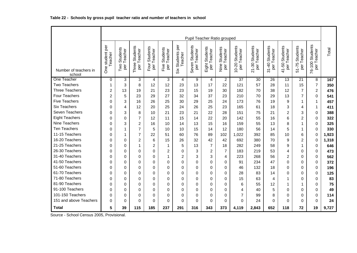|                                 |                            |                                |                                                |                              |                                         |                                 |                                   | Pupil Teacher Ratio grouped   |                                 |                                      |                                        |                                      |                                      |                                         |                                |       |
|---------------------------------|----------------------------|--------------------------------|------------------------------------------------|------------------------------|-----------------------------------------|---------------------------------|-----------------------------------|-------------------------------|---------------------------------|--------------------------------------|----------------------------------------|--------------------------------------|--------------------------------------|-----------------------------------------|--------------------------------|-------|
|                                 |                            |                                |                                                |                              |                                         |                                 |                                   |                               |                                 |                                      |                                        |                                      |                                      |                                         |                                |       |
| Number of teachers in<br>school | One student per<br>Teacher | Students<br>per Teacher<br>Two | <b>Students</b><br>per Teacher<br><b>Three</b> | Four Students<br>per Teacher | Students<br>Teacher<br>Five<br>per<br>D | per<br>Students<br>Teacher<br>š | Students<br>per Teacher<br>Seven: | Eight Students<br>per Teacher | Students<br>per Teacher<br>Nine | Students<br>per Teacher<br>$10 - 20$ | Students<br>per Teacher<br>$21 - 30.5$ | Students<br>per Teacher<br>$31 - 40$ | Students<br>per Teacher<br>$41 - 50$ | Students<br>Teacher<br>$51 - 75$<br>per | 76-100 Students<br>per Teacher | Total |
| One Teacher                     | $\mathbf 0$                | 3                              | 3                                              | 4                            | 3                                       | 4                               | 9                                 | $\overline{4}$                | $\overline{2}$                  | $\overline{37}$                      | 30                                     | 26                                   | $\overline{13}$                      | $\overline{21}$                         | 8                              | 167   |
| <b>Two Teachers</b>             | 1                          | 3                              | 8                                              | 12                           | 12                                      | 23                              | 13                                | 17                            | 22                              | 121                                  | 57                                     | 28                                   | 11                                   | 15                                      | $\overline{7}$                 | 350   |
| <b>Three Teachers</b>           | $\overline{c}$             | 13                             | 19                                             | 21                           | 23                                      | 23                              | 15                                | 19                            | 30                              | 182                                  | 70                                     | 38                                   | 12                                   | $\overline{7}$                          | $\overline{c}$                 | 476   |
| Four Teachers                   | $\overline{2}$             | 5                              | 23                                             | 29                           | 27                                      | 32                              | 34                                | 37                            | 23                              | 210                                  | 70                                     | 29                                   | 13                                   | $\overline{7}$                          | 0                              | 541   |
| <b>Five Teachers</b>            | $\Omega$                   | 3                              | 16                                             | 26                           | 25                                      | 30                              | 29                                | 25                            | 24                              | 173                                  | 76                                     | 19                                   | 9                                    | 1                                       | 1                              | 457   |
| <b>Six Teachers</b>             | 0                          | 4                              | 12                                             | 20                           | 25                                      | 24                              | 26                                | 25                            | 23                              | 165                                  | 61                                     | 18                                   | 3                                    | 4                                       | 1                              | 411   |
| Seven Teachers                  | 0                          | 3                              | 8                                              | 10                           | 21                                      | 23                              | 21                                | 22                            | 28                              | 151                                  | 75                                     | 21                                   | 2                                    | 3                                       | 0                              | 388   |
| <b>Eight Teachers</b>           | 0                          | $\Omega$                       | $\overline{7}$                                 | 12                           | 11                                      | 15                              | 14                                | 22                            | 20                              | 142                                  | 55                                     | 16                                   | 6                                    | $\overline{2}$                          | 0                              | 322   |
| Nine Teachers                   | 0                          | 3                              | $\overline{2}$                                 | 16                           | 10                                      | 14                              | 13                                | 15                            | 16                              | 159                                  | 55                                     | 13                                   | 8                                    | 1                                       | 0                              | 325   |
| <b>Ten Teachers</b>             | $\Omega$                   |                                | $\overline{7}$                                 | 5                            | 10                                      | 10                              | 15                                | 14                            | 12                              | 180                                  | 56                                     | 14                                   | 5                                    | 1                                       | 0                              | 330   |
| 11-15 Teachers                  | $\Omega$                   |                                | $\overline{7}$                                 | 22                           | 51                                      | 60                              | 76                                | 89                            | 102                             | 1,022                                | 392                                    | 85                                   | 10                                   | 6                                       | $\Omega$                       | 1,923 |
| 16-20 Teachers                  | $\Omega$                   | $\Omega$                       | $\overline{2}$                                 | 6                            | 15                                      | 26                              | 32                                | 42                            | 42                              | 692                                  | 380                                    | 70                                   | 9                                    | $\overline{c}$                          | 0                              | 1,318 |
| 21-25 Teachers                  | 0                          | 0                              | $\mathbf{1}$                                   | 2                            | 1                                       | 5                               | 13                                | $\overline{7}$                | 18                              | 282                                  | 249                                    | 58                                   | 9                                    | 1                                       | 0                              | 646   |
| 26-30 Teachers                  | 0                          | 0                              | $\Omega$                                       | 0                            | 2                                       | 0                               | 3                                 | $\overline{c}$                | $\overline{7}$                  | 183                                  | 219                                    | 53                                   | 4                                    | $\Omega$                                | 0                              | 473   |
| 31-40 Teachers                  | $\Omega$                   | 0                              | $\Omega$                                       | $\Omega$                     | 1                                       | $\overline{c}$                  | 3                                 | 3                             | 4                               | 223                                  | 268                                    | 56                                   | 2                                    | $\Omega$                                | $\Omega$                       | 562   |
| 41-50 Teachers                  | 0                          | $\Omega$                       | $\Omega$                                       | $\Omega$                     | $\Omega$                                | $\Omega$                        | $\Omega$                          | $\Omega$                      | 0                               | 91                                   | 234                                    | 47                                   | 0                                    | $\Omega$                                | 0                              | 372   |
| 51-60 Teachers                  | 0                          | 0                              | $\Omega$                                       | $\Omega$                     | 0                                       | 0                               | 0                                 | 0                             | $\Omega$                        | 46                                   | 132                                    | 18                                   | 0                                    | $\Omega$                                | 0                              | 196   |
| 61-70 Teachers                  | $\Omega$                   | $\Omega$                       | $\Omega$                                       | $\Omega$                     | $\Omega$                                | 0                               | 0                                 | $\mathbf 0$                   | $\Omega$                        | 28                                   | 83                                     | 14                                   | 0                                    | $\Omega$                                | 0                              | 125   |
| 71-80 Teachers                  | $\Omega$                   | 0                              | $\Omega$                                       | $\Omega$                     | $\Omega$                                | 0                               | $\Omega$                          | $\Omega$                      | $\Omega$                        | 15                                   | 63                                     | 4                                    | 1                                    | $\Omega$                                | 0                              | 83    |
| 81-90 Teachers                  | $\Omega$                   | $\Omega$                       | $\Omega$                                       | $\Omega$                     | 0                                       | 0                               | $\Omega$                          | $\Omega$                      | $\Omega$                        | 6                                    | 55                                     | 12                                   | 1                                    | 1                                       | 0                              | 75    |
| 91-100 Teachers                 | $\Omega$                   | $\Omega$                       | $\Omega$                                       | $\Omega$                     | $\Omega$                                | $\Omega$                        | 0                                 | $\Omega$                      | $\Omega$                        | 4                                    | 40                                     | 5                                    | 0                                    | $\Omega$                                | 0                              | 49    |
| 101-150 Teachers                | 0                          | $\Omega$                       | $\Omega$                                       | $\Omega$                     | 0                                       | 0                               | 0                                 | 0                             | $\Omega$                        | 7                                    | 99                                     | 8                                    | 0                                    | 0                                       | 0                              | 114   |
| 151 and above Teachers          | $\Omega$                   | 0                              | $\Omega$                                       | 0                            | $\Omega$                                | $\Omega$                        | $\Omega$                          | 0                             | 0                               | 0                                    | 24                                     | $\Omega$                             | 0                                    | 0                                       | 0                              | 24    |
| <b>Total</b>                    | 5                          | 39                             | 115                                            | 185                          | 237                                     | 291                             | 316                               | 343                           | 373                             | 4,119                                | 2,843                                  | 652                                  | 118                                  | 72                                      | 19                             | 9,727 |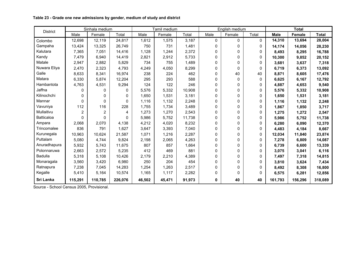| <b>District</b> |                | Sinhala medium |          |        | Tamil medium |        |          | English medium |          |             | <b>Total</b> |              |
|-----------------|----------------|----------------|----------|--------|--------------|--------|----------|----------------|----------|-------------|--------------|--------------|
|                 | Male           | Female         | Total    | Male   | Female       | Total  | Male     | Female         | Total    | <b>Male</b> | Female       | <b>Total</b> |
| Colombo         | 12,698         | 12,119         | 24,817   | 1,612  | 1,575        | 3,187  | $\Omega$ | $\Omega$       | 0        | 14,310      | 13,694       | 28,004       |
| Gampaha         | 13,424         | 13,325         | 26,749   | 750    | 731          | 1,481  | 0        | $\Omega$       | 0        | 14,174      | 14,056       | 28,230       |
| Kalutara        | 7,365          | 7,051          | 14,416   | 1,128  | 1.244        | 2,372  | 0        | 0              | 0        | 8,493       | 8,295        | 16,788       |
| Kandy           | 7,479          | 6,940          | 14,419   | 2,821  | 2,912        | 5,733  | 0        | 0              | $\Omega$ | 10,300      | 9,852        | 20,152       |
| Matale          | 2,947          | 2,882          | 5,829    | 734    | 755          | 1,489  | 0        | 0              | 0        | 3,681       | 3,637        | 7,318        |
| Nuwara Eliya    | 2,470          | 2,323          | 4,793    | 4,249  | 4,050        | 8,299  | 0        | 0              | 0        | 6,719       | 6,373        | 13,092       |
| Galle           | 8,633          | 8,341          | 16,974   | 238    | 224          | 462    | 0        | 40             | 40       | 8,871       | 8,605        | 17,476       |
| Matara          | 6,330          | 5,874          | 12,204   | 295    | 293          | 588    | 0        | $\Omega$       | 0        | 6,625       | 6,167        | 12,792       |
| Hambantota      | 4,763          | 4,531          | 9,294    | 124    | 122          | 246    | 0        | $\Omega$       | 0        | 4,887       | 4,653        | 9,540        |
| Jaffna          | 0              | 0              | 0        | 5,576  | 5,332        | 10,908 | 0        | 0              | 0        | 5,576       | 5,332        | 10,908       |
| Kilinochchi     | 0              | 0              | 0        | 1,650  | 1,531        | 3,181  | 0        | 0              | 0        | 1,650       | 1,531        | 3,181        |
| Mannar          | $\Omega$       | 0              | 0        | 1,116  | 1,132        | 2,248  | $\Omega$ | 0              | 0        | 1,116       | 1,132        | 2,248        |
| Vavuniya        | 112            | 116            | 228      | 1,755  | 1,734        | 3,489  | 0        | 0              | 0        | 1,867       | 1,850        | 3,717        |
| Mullaitivu      | $\overline{2}$ | 2              | 4        | 1,273  | 1,270        | 2,543  | 0        | 0              | $\Omega$ | 1,275       | 1,272        | 2,547        |
| Batticaloa      | 0              | 0              | $\Omega$ | 5,986  | 5,752        | 11,738 | 0        | 0              | 0        | 5,986       | 5,752        | 11,738       |
| Ampara          | 2,068          | 2,070          | 4.138    | 4,212  | 4,020        | 8,232  | 0        | 0              | 0        | 6,280       | 6,090        | 12,370       |
| Trincomalee     | 836            | 791            | 1,627    | 3,647  | 3,393        | 7,040  | 0        | 0              | 0        | 4,483       | 4,184        | 8,667        |
| Kurunegala      | 10,963         | 10,624         | 21,587   | 1,071  | 1,216        | 2,287  | 0        | 0              | 0        | 12,034      | 11,840       | 23,874       |
| Puttalam        | 5,080          | 4,744          | 9,824    | 2,198  | 2,065        | 4,263  | 0        | 0              | 0        | 7,278       | 6,809        | 14,087       |
| Anuradhapura    | 5,932          | 5,743          | 11,675   | 807    | 857          | 1,664  | 0        | 0              | 0        | 6,739       | 6,600        | 13,339       |
| Polonnaruwa     | 2,663          | 2,572          | 5,235    | 412    | 469          | 881    | 0        | 0              | 0        | 3,075       | 3,041        | 6,116        |
| <b>Badulla</b>  | 5,318          | 5,108          | 10,426   | 2,179  | 2,210        | 4,389  | $\Omega$ | 0              | 0        | 7,497       | 7,318        | 14,815       |
| Monaragala      | 3,560          | 3,420          | 6,980    | 250    | 204          | 454    | 0        | 0              | 0        | 3,810       | 3,624        | 7,434        |
| Ratnapura       | 7,238          | 7,045          | 14,283   | 1,254  | 1,263        | 2,517  | 0        | 0              | 0        | 8,492       | 8,308        | 16,800       |
| Kegalle         | 5,410          | 5,164          | 10,574   | 1,165  | 1,117        | 2,282  | 0        | 0              | 0        | 6,575       | 6,281        | 12,856       |
| Sri Lanka       | 115,291        | 110,785        | 226,076  | 46,502 | 45,471       | 91,973 | 0        | 40             | 40       | 161,793     | 156,296      | 318,089      |

**Table 23 - Grade one new admissions by gender, medium of study and district**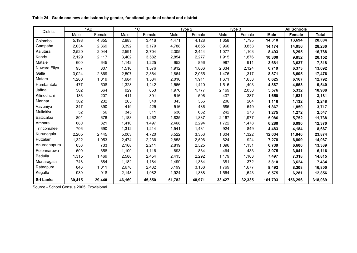| <b>District</b>   |        | 1AB    |        | 1 <sup>C</sup> |        | Type 2 |        | Type 3 |             | <b>All Schools</b> |              |
|-------------------|--------|--------|--------|----------------|--------|--------|--------|--------|-------------|--------------------|--------------|
|                   | Male   | Female | Male   | Female         | Male   | Female | Male   | Female | <b>Male</b> | <b>Female</b>      | <b>Total</b> |
| Colombo           | 5,198  | 4,355  | 2,983  | 3,416          | 4,471  | 4,128  | 1,658  | 1.795  | 14,310      | 13,694             | 28,004       |
| Gampaha           | 2,034  | 2,369  | 3,392  | 3,179          | 4,788  | 4,655  | 3,960  | 3,853  | 14,174      | 14,056             | 28,230       |
| Kalutara          | 2,520  | 2,044  | 2,591  | 2,704          | 2,305  | 2,444  | 1,077  | 1,103  | 8,493       | 8,295              | 16,788       |
| Kandy             | 2,129  | 2,117  | 3,402  | 3,582          | 2,854  | 2,277  | 1,915  | 1,876  | 10,300      | 9,852              | 20,152       |
| Matale            | 600    | 645    | 1.142  | 1,225          | 952    | 856    | 987    | 911    | 3,681       | 3,637              | 7,318        |
| Nuwara Eliya      | 957    | 807    | 1,516  | 1,576          | 1,912  | 1.866  | 2,334  | 2,124  | 6,719       | 6,373              | 13,092       |
| Galle             | 3,024  | 2,869  | 2,507  | 2,364          | 1,864  | 2,055  | 1,476  | 1,317  | 8,871       | 8,605              | 17,476       |
| Matara            | 1,260  | 1,019  | 1,684  | 1,584          | 2,010  | 1,911  | 1,671  | 1,653  | 6,625       | 6,167              | 12,792       |
| Hambantota        | 477    | 508    | 1,328  | 1,242          | 1,566  | 1,410  | 1,516  | 1,493  | 4,887       | 4,653              | 9,540        |
| Jaffna            | 502    | 664    | 929    | 853            | 1,976  | 1,777  | 2,169  | 2,038  | 5,576       | 5.332              | 10,908       |
| Kilinochchi       | 186    | 207    | 411    | 391            | 616    | 596    | 437    | 337    | 1,650       | 1,531              | 3,181        |
| Mannar            | 302    | 232    | 265    | 340            | 343    | 356    | 206    | 204    | 1,116       | 1,132              | 2,248        |
| Vavuniya          | 347    | 390    | 419    | 425            | 516    | 486    | 585    | 549    | 1,867       | 1,850              | 3,717        |
| Mullaitivu        | 52     | 56     | 345    | 311            | 636    | 632    | 242    | 273    | 1,275       | 1,272              | 2,547        |
| <b>Batticaloa</b> | 801    | 676    | 1,183  | 1,262          | 1,835  | 1,837  | 2,167  | 1,977  | 5,986       | 5,752              | 11,738       |
| Ampara            | 680    | 821    | 1,410  | 1,497          | 2,468  | 2,294  | 1,722  | 1,478  | 6,280       | 6,090              | 12,370       |
| Trincomalee       | 706    | 690    | 1,312  | 1,214          | 1,541  | 1,431  | 924    | 849    | 4,483       | 4,184              | 8,667        |
| Kurunegala        | 2,205  | 2,445  | 5,003  | 4,720          | 3,522  | 3,353  | 1,304  | 1,322  | 12,034      | 11,840             | 23,874       |
| Puttalam          | 1,322  | 1,053  | 2,474  | 2,236          | 2,858  | 2,596  | 624    | 924    | 7,278       | 6,809              | 14,087       |
| Anuradhapura      | 656    | 733    | 2,168  | 2,211          | 2,819  | 2,525  | 1,096  | 1,131  | 6,739       | 6,600              | 13,339       |
| Polonnaruwa       | 609    | 658    | 1,109  | 1,116          | 893    | 834    | 464    | 433    | 3,075       | 3,041              | 6,116        |
| <b>Badulla</b>    | 1,315  | 1,469  | 2,588  | 2,454          | 2,415  | 2,292  | 1,179  | 1,103  | 7,497       | 7,318              | 14,815       |
| Monaragala        | 748    | 684    | 1,182  | 1,184          | 1,499  | 1,384  | 381    | 372    | 3,810       | 3,624              | 7,434        |
| Ratnapura         | 846    | 1,011  | 2,678  | 2,482          | 3,199  | 3,138  | 1,769  | 1,677  | 8,492       | 8,308              | 16,800       |
| Kegalle           | 939    | 918    | 2,148  | 1,982          | 1,924  | 1,838  | 1,564  | 1,543  | 6,575       | 6,281              | 12,856       |
| Sri Lanka         | 30,415 | 29,440 | 46,169 | 45,550         | 51,782 | 48,971 | 33,427 | 32,335 | 161,793     | 156,296            | 318,089      |

**Table 24 - Grade one new admissions by gender, functional grade of school and district**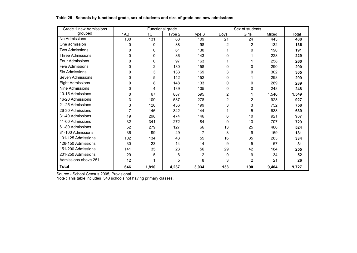| Grade 1 new Admissions  |              | Functional grade |        |        | Sex of students |       |       |       |
|-------------------------|--------------|------------------|--------|--------|-----------------|-------|-------|-------|
| grouped                 | 1AB          | 1C               | Type 2 | Type 3 | Boys            | Girls | Mixed | Total |
| No Admissions           | 180          | $\overline{131}$ | 68     | 109    | $\overline{21}$ | 24    | 443   | 488   |
| One admission           | $\mathbf{0}$ | 0                | 38     | 98     | 2               | 2     | 132   | 136   |
| <b>Two Admissions</b>   | 0            | 0                | 61     | 130    |                 | 0     | 190   | 191   |
| <b>Three Admissions</b> | 0            | 0                | 86     | 143    | 0               |       | 228   | 229   |
| Four Admissions         | 0            | 0                | 97     | 163    |                 |       | 258   | 260   |
| <b>Five Admissions</b>  | 0            | 2                | 130    | 158    | 0               | 0     | 290   | 290   |
| <b>Six Admissions</b>   | 0            | 3                | 133    | 169    | 3               | 0     | 302   | 305   |
| Seven Admissions        | 0            | 5                | 142    | 152    | 0               |       | 298   | 299   |
| <b>Eight Admissions</b> | 0            | 8                | 148    | 133    | 0               | 0     | 289   | 289   |
| <b>Nine Admissions</b>  | $\Omega$     | 4                | 139    | 105    | 0               | 0     | 248   | 248   |
| 10-15 Admissions        | 0            | 67               | 887    | 595    | 2               |       | 1,546 | 1,549 |
| 16-20 Admissions        | 3            | 109              | 537    | 278    | $\overline{2}$  | 2     | 923   | 927   |
| 21-25 Admissions        | 3            | 120              | 436    | 199    | 3               | 3     | 752   | 758   |
| 26-30 Admissions        | 7            | 146              | 342    | 144    |                 | 5     | 633   | 639   |
| 31-40 Admissions        | 19           | 298              | 474    | 146    | 6               | 10    | 921   | 937   |
| 41-60 Admissions        | 32           | 341              | 272    | 84     | 9               | 13    | 707   | 729   |
| 61-80 Admissions        | 52           | 279              | 127    | 66     | 13              | 25    | 486   | 524   |
| 81-100 Admissions       | 36           | 99               | 29     | 17     | 3               | 9     | 169   | 181   |
| 101-125 Admissions      | 102          | 134              | 43     | 55     | 16              | 35    | 283   | 334   |
| 126-150 Admissions      | 30           | 23               | 14     | 14     | 9               | 5     | 67    | 81    |
| 151-200 Admissions      | 141          | 35               | 23     | 56     | 29              | 42    | 184   | 255   |
| 201-250 Admissions      | 29           | 5                | 6      | 12     | 9               | 9     | 34    | 52    |
| Admissions above 251    | 12           |                  | 5      | 8      | 3               | 2     | 21    | 26    |
| <b>Total</b>            | 646          | 1,810            | 4,237  | 3,034  | 133             | 190   | 9,404 | 9,727 |

**Table 25 - Schools by functional grade, sex of students and size of grade one new admissions**

Note : This table includes 343 schools not having primary classes.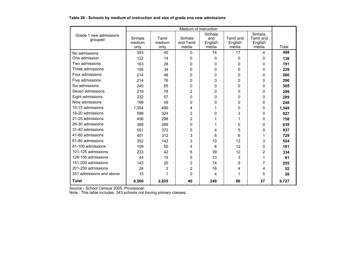#### **Table 26 - Schools by medium of instruction and size of grade one new admissions**

|                                   |                           |                         | Medium of instruction         |                                    |                                      |                                           |       |
|-----------------------------------|---------------------------|-------------------------|-------------------------------|------------------------------------|--------------------------------------|-------------------------------------------|-------|
| Grade 1 new admissions<br>grouped | Sinhala<br>medium<br>only | Tamil<br>medium<br>only | Sinhala<br>and Tamil<br>media | Sinhala<br>and<br>English<br>media | <b>Tamil and</b><br>English<br>media | Sinhala,<br>Tamil and<br>English<br>media | Total |
| No admissions                     | 353                       | 40                      | $\Omega$                      | 74                                 | 17                                   | $\overline{4}$                            | 488   |
| One admission                     | 122                       | 14                      | $\mathbf 0$                   | 0                                  | 0                                    | $\mathbf 0$                               | 136   |
| Two admissions                    | 163                       | 28                      | $\mathbf 0$                   | 0                                  | 0                                    | 0                                         | 191   |
| Three admissions                  | 195                       | 34                      | $\Omega$                      | 0                                  | 0                                    | $\Omega$                                  | 229   |
| Four admissions                   | 214                       | 46                      | $\mathbf 0$                   | 0                                  | 0                                    | $\mathbf 0$                               | 260   |
| Five admissions                   | 214                       | 76                      | 0                             | 0                                  | 0                                    | 0                                         | 290   |
| Six admissions                    | 240                       | 65                      | $\mathbf 0$                   | $\mathbf 0$                        | 0                                    | $\mathbf 0$                               | 305   |
| Seven admissions                  | 219                       | 78                      | 2                             | 0                                  | 0                                    | $\mathbf 0$                               | 299   |
| Eight admissions                  | 232                       | 57                      | $\Omega$                      | 0                                  | 0                                    | $\mathbf 0$                               | 289   |
| Nine admissions                   | 199                       | 49                      | 0                             | 0                                  | 0                                    | 0                                         | 248   |
| 10-15 admissions                  | 1,054                     | 490                     | 4                             |                                    | 0                                    | $\mathbf 0$                               | 1,549 |
| 16-20 admissions                  | 598                       | 324                     | 2                             | $\Omega$                           | 3                                    | $\mathbf 0$                               | 927   |
| 21-25 admissions                  | 456                       | 298                     | $\overline{c}$                |                                    | 1                                    | $\mathbf 0$                               | 758   |
| 26-30 admissions                  | 369                       | 269                     | $\mathbf 0$                   |                                    | 0                                    | $\mathbf 0$                               | 639   |
| 31-40 admissions                  | 551                       | 372                     | 5                             | 4                                  | 5                                    | 0                                         | 937   |
| 41-60 admissions                  | 401                       | 312                     | 3                             | 6                                  | 6                                    | 1                                         | 729   |
| 61-80 admissions                  | 352                       | 143                     | 3                             | 10                                 | 13                                   | 3                                         | 524   |
| 81-100 admissions                 | 109                       | 50                      | 4                             | 6                                  | 12                                   | 0                                         | 181   |
| 101-125 admissions                | 233                       | 42                      | 6                             | 39                                 | 12                                   | $\overline{2}$                            | 334   |
| 126-150 admissions                | 44                        | 15                      | 5                             | 13                                 | 3                                    | 1                                         | 81    |
| 151-200 admissions                | 143                       | 20                      | $\overline{2}$                | 74                                 | 9                                    | $\overline{7}$                            | 255   |
| 201-250 admissions                | 24                        | $\overline{2}$          | $\overline{2}$                | 16                                 | 4                                    | 4                                         | 52    |
| 251 admissions and above          | 15                        |                         | 0                             | 4                                  | 1                                    | 5                                         | 26    |
| <b>Total</b>                      | 6,500                     | 2,825                   | 40                            | 249                                | 86                                   | 27                                        | 9,727 |

Source - School Census 2005, Provisional.

Note : This table includes 343 schools not having primary classes.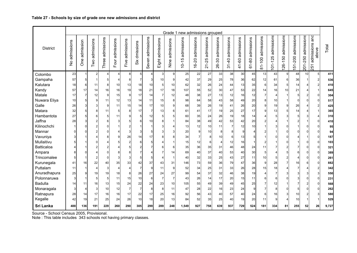|                 |                             |                         |                   |                     |                 |                    |                  |                          |                     |                    | Grade 1 new admissions grouped |                         |                         |                            |                                               |                     |                         |                                             |                                       |                       |                       |                       |                                   |       |
|-----------------|-----------------------------|-------------------------|-------------------|---------------------|-----------------|--------------------|------------------|--------------------------|---------------------|--------------------|--------------------------------|-------------------------|-------------------------|----------------------------|-----------------------------------------------|---------------------|-------------------------|---------------------------------------------|---------------------------------------|-----------------------|-----------------------|-----------------------|-----------------------------------|-------|
| <b>District</b> | admissions<br>$\frac{1}{2}$ | admission<br><b>One</b> | admissions<br>Two | admissions<br>Three | Four admissions | admissions<br>Five | dmissions<br>šix | admissions<br>even<br>O. | admissions<br>Eight | admissions<br>Nine | admissions<br>Ю<br>$10-1$      | admissions<br>$16 - 20$ | admissions<br>$21 - 25$ | admissions<br>80<br>$26 -$ | admissions<br>$-40$<br>$\tilde{\mathfrak{c}}$ | admissions<br>41-60 | admissions<br>$61 - 80$ | admissions<br>$-100$<br>$\overline{\infty}$ | admissions<br>$-125$<br>$\frac{5}{2}$ | admissions<br>126-150 | admissions<br>151-200 | admissions<br>201-250 | and<br>admissions<br>above<br>251 | Total |
| Colombo         | 23                          |                         | $\overline{2}$    | $\overline{4}$      | $\overline{4}$  | 8                  | 5                | $\vert$                  | 3 <sup>1</sup>      | $\overline{9}$     | 25                             | 22                      | 27                      | 33                         | 38                                            | 30                  | 45                      | 13                                          | 43                                    | 9                     | 48                    | 10                    | 5 <sup>1</sup>                    | 411   |
| Gampaha         | 57                          | 5                       |                   | 5                   |                 | 8                  | $\overline{7}$   | $\lvert 3 \rvert$        | 10 <sup>1</sup>     | 9                  | 42                             | 37                      | 29                      | 25                         | 78                                            | 36                  | 62                      | 12                                          | 61                                    | 6                     | 36                    | $\overline{1}$        | $\overline{2}$                    | 536   |
| Kalutara        | 18                          | 6                       | 11                | 8                   | 10              | 13                 | 18               | 10                       | 5 <sup>5</sup>      | 10                 | 62                             | 32                      | 26                      | 24                         | 44                                            | 13                  | 35                      | 6                                           | 34                                    | 5                     | 14                    | 4                     | $\overline{2}$                    | 410   |
| Kandy           | 57                          | 17                      | 14                | 16                  | 16              | 19                 | 18               | 21                       | 17                  | 18                 | 107                            | 55                      | 52                      | 30                         | 47                                            | 53                  | 22                      | 14                                          | 16                                    | 10                    | 21                    | 4                     | $\mathbf{1}$                      | 645   |
| Matale          | 17                          | $\overline{7}$          | 12                | 9                   | 15              | 9                  | 17               | 14                       | $\overline{7}$      | 12                 | 48                             | 38                      | 27                      | 13                         | 12                                            | 16                  | 12                      | $\overline{7}$                              | 4                                     | $\overline{1}$        | 5                     | $\overline{2}$        | 0                                 | 304   |
| Nuwara Eliya    | 10                          | 5                       | $\overline{9}$    | 11                  | 12              | 13                 | 14               | 11                       | 15                  | 8                  | 98                             | 64                      | 58                      | 43                         | 58                                            | 49                  | 20                      | 8                                           | 10                                    | -1                    | $\Omega$              | $\Omega$              | $\Omega$                          | 517   |
| Galle           | 26                          |                         | 3                 | 9                   | 11              | 15                 | 14               | 17                       | 10                  | $\overline{9}$     | 68                             | 39                      | 26                      | 19                         | 41                                            | 26                  | 20                      | 9                                           | 19                                    | 9                     | 26                    | 4                     | $\overline{2}$                    | 425   |
| Matara          | 32                          |                         | 8                 | 11                  | 5               | 8                  | 17               | $\overline{7}$           | 13                  | $6 \mid$           | 61                             | 41                      | 17                      | 19                         | 25                                            | 27                  | 17                      | 9                                           | 13                                    | 5 <sup>1</sup>        | 14                    | 4                     | 1                                 | 365   |
| Hambantota      | 27                          |                         | 6                 | 5                   | 11              | 9                  | 5                | 12                       | 5 <sup>1</sup>      | 5                  | 60                             | 35                      | 24                      | 26                         | 19                                            | 18                  | 14                      |                                             | 5                                     | 3                     | 5                     | 3                     | 4                                 | 310   |
| Jaffna          | 28                          |                         | 2                 | 6                   | 3               | 5                  | 6                | 10                       | 8                   | 1                  | 84                             | 38                      | 49                      | 42                         | 53                                            | 42                  | 20                      | $\overline{2}$                              |                                       |                       | 2                     | 1                     | $\Omega$                          | 410   |
| Kilinochchi     | $\mathbf{1}$                | O                       | $\overline{2}$    | $\Omega$            |                 | 2                  |                  | $\mathbf 1$              | 3                   | 4                  | 13                             | 12                      | 10                      | 11                         | $\overline{7}$                                | 12                  | 10 <sup>1</sup>         |                                             | 3                                     | $\Omega$              |                       | $\Omega$              | 0                                 | 95    |
| Mannar          | 0                           | n                       | 2                 | $\mathbf 0$         |                 | 3                  |                  | 5 <sup>1</sup>           | $\mathbf{3}$        | 3                  | 20                             | 9                       | 10                      | 8                          | 8                                             | $\overline{9}$      | 4                       |                                             |                                       | 0                     | 0                     | O                     | 0                                 | 94    |
| Vavuniya        | 3                           |                         | 4                 | 8                   | 9               | 26                 | 14               | 17                       | 8                   | 8                  | 34                             |                         | 8                       | 10                         | 6                                             | 13                  | 5                       |                                             | $\Omega$                              | $\Omega$              | 4                     | $\mathbf 1$           | $\Omega$                          | 187   |
| Mullaitivu      | 5                           |                         | U                 | $\overline{4}$      |                 | $\overline{2}$     | 6                | 5 <sup>5</sup>           |                     | 1                  | 15                             | 12                      | 6                       | 4                          | 12                                            | 16                  |                         |                                             |                                       | $\Omega$              |                       | $\Omega$              | $\Omega$                          | 103   |
| Batticaloa      | $\vert$                     |                         | 2                 | $\overline{2}$      |                 | 5                  |                  | $\overline{7}$           | $6 \mid$            | 6                  | 35                             | 36                      | 35                      | 31                         | 46                                            | 48                  | 24                      | 11                                          |                                       | 2                     |                       | $\Omega$              | 0                                 | 321   |
| Ampara          | 8                           | C                       |                   | $\mathbf 0$         | 8               |                    |                  |                          |                     | 14                 | 69                             | 40                      | 37                      | 40                         | 53                                            | 40                  | 30                      | 5                                           | 4                                     | 5                     | 6                     | $\Omega$              | $\Omega$                          | 389   |
| Trincomalee     | 5                           |                         | 2                 | $\mathbf 0$         | 3               | 3                  | 5                | 5                        |                     | 1                  | 40                             | 32                      | 33                      | 25                         | 43                                            | 27                  | 11                      | 10                                          | 5                                     | 2                     | 4                     | $\Omega$              | $\Omega$                          | 261   |
| Kurunegala      | 41                          | 16                      | 22                | 40                  | 35              | 33                 | 42               | 37                       | 43                  | 31                 | 146                            | 73                      | 59                      | 36                         | 79                                            | 47                  | 36                      | 9                                           | 28                                    | $\overline{7}$        | 16                    | 6                     | $\Omega$                          | 882   |
| Puttalam        | 11                          |                         | 4                 | 3                   | 4               | $\Delta$           | $\overline{7}$   | 9                        | 11                  | $\overline{9}$     | 52                             | 34                      | 25                      | 31                         | 33                                            | 26                  | 28                      | 15                                          | 18                                    | 4                     | 7                     | 4                     | $\overline{2}$                    | 342   |
| Anuradhapura    | 25                          | 9                       | 19                | 19                  | 18              | 8                  | 26               | 27                       | 24                  | 27                 | 99                             | 54                      | 37                      | 32                         | 46                                            | 38                  | 19                      | 4                                           | $\overline{7}$                        | 3                     | 3                     | 3                     | 3 <sup>1</sup>                    | 550   |
| Polonnaruwa     | 3                           |                         | 5                 | 5                   | 11              | 15                 | 10               | 6                        | $\overline{7}$      | $\overline{7}$     | 43                             | 26                      | 14                      | 17                         | 20                                            | 15                  | 11                      | 6                                           | 6                                     | $\Omega$              | 3                     | $\Omega$              | $\Omega$                          | 231   |
| <b>Badulla</b>  | 14                          | 11                      | 16                | 13                  | 15              | 24                 | 22               | 24                       | 23                  | 10                 | 105                            | 55                      | 49                      | 39                         | 49                                            | 45                  | 25                      | 7                                           | 12                                    | -1                    | 7                     | $\overline{2}$        | 0                                 | 568   |
| Monaragala      | 3                           | 4                       | 3                 | 10                  | 12              | $\overline{7}$     | $\overline{7}$   | 8 <sup>1</sup>           | 8                   | 11                 | 47                             | 28                      | 22                      | 16                         | 23                                            | 24                  | $\overline{9}$          | $\overline{7}$                              | 8                                     | $\Omega$              | 5                     | 0                     | $\Omega$                          | 262   |
| Ratnapura       | 28                          | 14                      | 17                | 16                  | 16              | 17                 | 22               | 17                       | 25                  | 16                 | 92                             | 56                      | 43                      | 40                         | 57                                            | 40                  | 24                      | 6                                           | 16                                    | 3                     | 10                    | 2                     | 3                                 | 580   |
| Kegalle         | 42                          | 19                      | 21                | 25                  | 24              | 26                 | 10               | 18                       | 20 <sub>l</sub>     | 13                 | 84                             | 52                      | 35                      | 25                         | 40                                            | 19                  | 20                      | 11                                          | 9                                     | 4                     | 10                    | -1                    | 1                                 | 529   |
| Sri Lanka       | 488                         | 136                     | 191               | 229                 | 260             | 290                | 305              | 299                      | 289                 | 248                | 1,549                          | 927                     | 758                     | 639                        | 937                                           | 729                 | 524                     | 181                                         | 334                                   | 81                    | 255                   | 52                    | 26                                | 9,727 |

Note : This table includes 343 schools not having primary classes.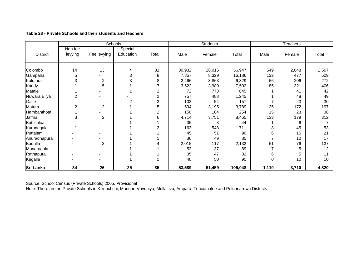|                  |                    |                | Schools              |                  |        | <b>Students</b> |         | Teachers       |        |       |  |
|------------------|--------------------|----------------|----------------------|------------------|--------|-----------------|---------|----------------|--------|-------|--|
| <b>District</b>  | Non fee<br>levying | Fee levying    | Special<br>Education | Total            | Male   | Female          | Total   | Male           | Female | Total |  |
| Colombo          | 14                 | 13             | 4                    | 31               | 30,932 | 26,015          | 56,947  | 549            | 2,048  | 2,597 |  |
| Gampaha          | 5                  |                | 3                    | 8                | 7,857  | 8,329           | 16,186  | 132            | 477    | 609   |  |
| Kalutara         | 3                  | $\overline{2}$ | 3                    | 8                | 2,466  | 3,863           | 6,329   | 66             | 206    | 272   |  |
| Kandy            |                    | 5              |                      | $\overline{7}$   | 3,522  | 3,980           | 7,502   | 85             | 321    | 406   |  |
| Matale           |                    |                |                      | $\overline{c}$   | 72     | 773             | 845     |                | 41     | 42    |  |
| Nuwara Eliya     | $\overline{2}$     |                |                      | $\boldsymbol{2}$ | 757    | 488             | 1,245   |                | 48     | 49    |  |
| Galle            |                    |                | $\overline{2}$       | $\overline{2}$   | 103    | 54              | 157     | $\overline{7}$ | 23     | 30    |  |
| Matara           | 2                  | $\overline{2}$ |                      | 5                | 594    | 3,195           | 3,789   | 25             | 172    | 197   |  |
| Hambanthota      |                    |                |                      | 2                | 150    | 104             | 254     | 15             | 23     | 38    |  |
| Jaffna           | 3                  | $\overline{2}$ |                      | 6                | 4,714  | 3,751           | 8,465   | 133            | 179    | 312   |  |
| Batticaloa       |                    |                |                      |                  | 36     | 8               | 44      |                | 6      |       |  |
| Kurunegala       |                    |                |                      | $\overline{2}$   | 163    | 548             | 711     | 8              | 45     | 53    |  |
| Puttalam         |                    |                |                      |                  | 45     | 51              | 96      | 6              | 15     | 21    |  |
| Anuradhapura     |                    |                |                      |                  | 36     | 49              | 85      | $\overline{7}$ | 10     | 17    |  |
| <b>Badulla</b>   |                    | 3              |                      |                  | 2,015  | 117             | 2,132   | 61             | 76     | 137   |  |
| Monaragala       |                    |                |                      |                  | 52     | 37              | 89      | $\overline{ }$ | 5      | 12    |  |
| Ratnapura        |                    |                |                      |                  | 35     | 47              | 82      | 6              | 5      | 11    |  |
| Kegalle          |                    |                |                      |                  | 40     | 50              | 90      | 0              | 10     | 10    |  |
| <b>Sri Lanka</b> | 34                 | 26             | 25                   | 85               | 53,589 | 51,459          | 105,048 | 1,110          | 3,710  | 4,820 |  |

**Table 28 - Private Schools and their students and teachers** 

Source: School Census (Private Schools) 2005, Provisional

Note: There are no Private Schools in Kilinochchi, Mannar, Vavuniya, Mullaitivu, Ampara, Trincomalee and Polonnaruwa Districts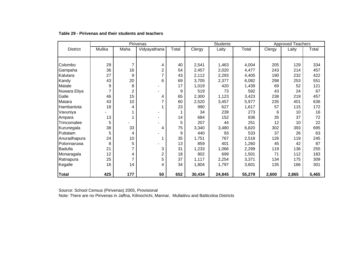|                 |                |                | Pirivenas      |       |        | <b>Students</b> |        | <b>Approved Teachers</b> |       |       |  |
|-----------------|----------------|----------------|----------------|-------|--------|-----------------|--------|--------------------------|-------|-------|--|
| <b>District</b> | Mulika         | Maha           | Vidyayathana   | Total | Clergy | Laity           | Total  | Clergy                   | Laity | Total |  |
|                 |                |                |                |       |        |                 |        |                          |       |       |  |
|                 |                |                |                |       |        |                 |        |                          |       |       |  |
| Colombo         | 29             | $\overline{7}$ | 4              | 40    | 2,541  | 1,463           | 4,004  | 205                      | 129   | 334   |  |
| Gampaha         | 36             | 16             | 2              | 54    | 2,457  | 2,020           | 4,477  | 243                      | 214   | 457   |  |
| Kalutara        | 27             | 9              |                | 43    | 2,112  | 2,293           | 4,405  | 190                      | 232   | 422   |  |
| Kandy           | 43             | 20             | 6              | 69    | 3,705  | 2,377           | 6,082  | 298                      | 253   | 551   |  |
| Matale          | 9              | 8              |                | 17    | 1,019  | 420             | 1,439  | 69                       | 52    | 121   |  |
| Nuwara Eliya    | $\overline{7}$ | $\overline{2}$ |                | 9     | 519    | 73              | 592    | 43                       | 24    | 67    |  |
| Galle           | 46             | 15             | 4              | 65    | 2,300  | 1,123           | 3,423  | 238                      | 219   | 457   |  |
| Matara          | 43             | 10             |                | 60    | 2,520  | 3,457           | 5,977  | 235                      | 401   | 636   |  |
| Hambantota      | 18             | 4              |                | 23    | 990    | 627             | 1,617  | 57                       | 115   | 172   |  |
| Vavuniya        |                |                |                |       | 34     | 239             | 273    | 6                        | 10    | 16    |  |
| Ampara          | 13             |                |                | 14    | 684    | 152             | 836    | 35                       | 37    | 72    |  |
| Trincomalee     | 5              |                |                | 5     | 207    | 44              | 251    | 12                       | 10    | 22    |  |
| Kurunegala      | 38             | 33             | 4              | 75    | 3,340  | 3,480           | 6,820  | 302                      | 393   | 695   |  |
| Puttalam        | 5              | 4              |                | 9     | 440    | 93              | 533    | 37                       | 26    | 63    |  |
| Anuradhapura    | 24             | 10             |                | 35    | 1,751  | 767             | 2,518  | 126                      | 119   | 245   |  |
| Polonnaruwa     | 8              | 5              |                | 13    | 859    | 401             | 1,260  | 45                       | 42    | 87    |  |
| <b>Badulla</b>  | 21             | $\overline{7}$ | 3              | 31    | 1,233  | 1,066           | 2,299  | 119                      | 136   | 255   |  |
| Monaragala      | 12             | 4              | $\overline{2}$ | 18    | 802    | 699             | 1,501  | 71                       | 112   | 183   |  |
| Ratnapura       | 25             | $\overline{7}$ | 5              | 37    | 1,117  | 2,254           | 3,371  | 134                      | 175   | 309   |  |
| Kegalle         | 16             | 14             | 4              | 34    | 1,804  | 1,797           | 3,601  | 135                      | 166   | 301   |  |
|                 |                |                |                |       |        |                 |        |                          |       |       |  |
| <b>Total</b>    | 425            | 177            | 50             | 652   | 30,434 | 24,845          | 55,279 | 2,600                    | 2,865 | 5,465 |  |

#### **Table 29 - Pirivenas and their students and teachers**

Source: School Census (Pirivenas) 2005, Provisional

Note: There are no Pirivenas in Jaffna, Kilinochchi, Mannar, Mullaitivu and Batticoloa Districts